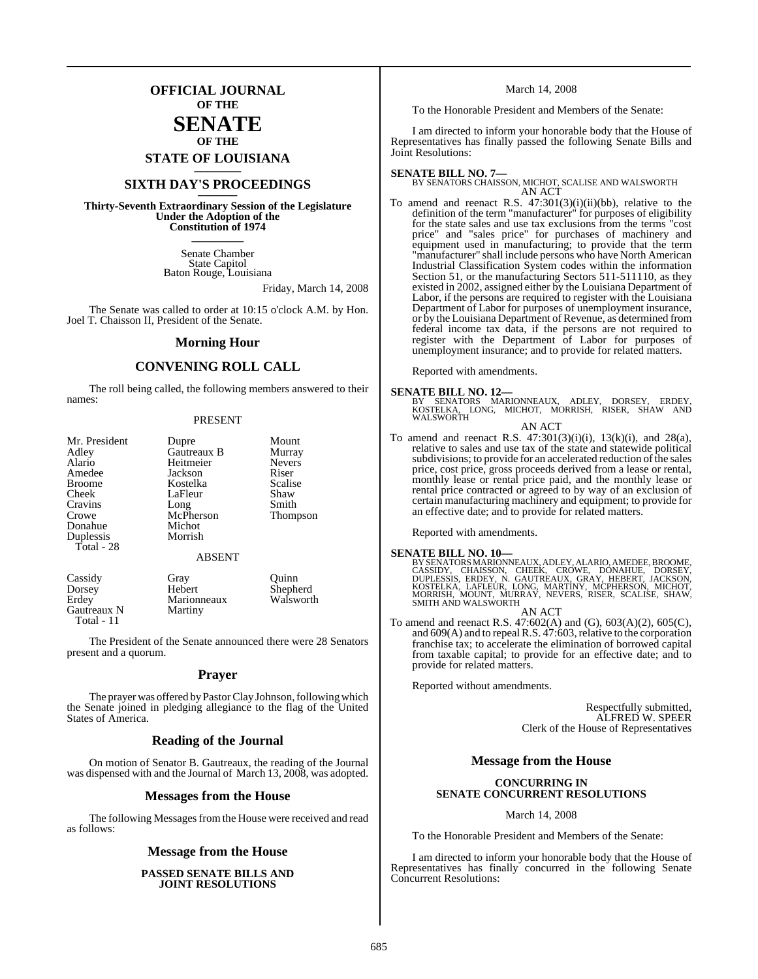## **OFFICIAL JOURNAL OF THE**

### **SENATE OF THE**

**STATE OF LOUISIANA \_\_\_\_\_\_\_**

## **SIXTH DAY'S PROCEEDINGS \_\_\_\_\_\_\_**

**Thirty-Seventh Extraordinary Session of the Legislature Under the Adoption of the Constitution of 1974 \_\_\_\_\_\_\_**

> Senate Chamber State Capitol Baton Rouge, Louisiana

> > Friday, March 14, 2008

The Senate was called to order at 10:15 o'clock A.M. by Hon. Joel T. Chaisson II, President of the Senate.

#### **Morning Hour**

### **CONVENING ROLL CALL**

The roll being called, the following members answered to their names:

#### PRESENT

| Mr. President | Dupre         | Mount         |
|---------------|---------------|---------------|
| Adley         | Gautreaux B   | Murray        |
| Alario        | Heitmeier     | <b>Nevers</b> |
| Amedee        | Jackson       | Riser         |
| <b>Broome</b> | Kostelka      | Scalise       |
| Cheek         | LaFleur       | Shaw          |
| Cravins       | Long          | Smith         |
| Crowe         | McPherson     | Thompson      |
| Donahue       | Michot        |               |
| Duplessis     | Morrish       |               |
| Total - 28    |               |               |
|               | <b>ABSENT</b> |               |
| Cassidy       | Gray          | uinn          |

Dorsey Hebert Shepherd<br>Erdey Marionneaux Walsworth Marionneaux<br>Martiny Gautreaux N Total - 11

The President of the Senate announced there were 28 Senators present and a quorum.

#### **Prayer**

The prayer was offered by Pastor Clay Johnson, following which the Senate joined in pledging allegiance to the flag of the United States of America.

#### **Reading of the Journal**

On motion of Senator B. Gautreaux, the reading of the Journal was dispensed with and the Journal of March 13, 2008, was adopted.

#### **Messages from the House**

The following Messages from the House were received and read as follows:

#### **Message from the House**

#### **PASSED SENATE BILLS AND JOINT RESOLUTIONS**

March 14, 2008

To the Honorable President and Members of the Senate:

I am directed to inform your honorable body that the House of Representatives has finally passed the following Senate Bills and Joint Resolutions:

#### **SENATE BILL NO. 7—**

BY SENATORS CHAISSON, MICHOT, SCALISE AND WALSWORTH AN ACT

To amend and reenact R.S.  $47:301(3)(i)(ii)(bb)$ , relative to the definition of the term "manufacturer" for purposes of eligibility for the state sales and use tax exclusions from the terms "cost price" and "sales price" for purchases of machinery and equipment used in manufacturing; to provide that the term "manufacturer" shall include persons who have North American Industrial Classification System codes within the information Section 51, or the manufacturing Sectors 511-511110, as they existed in 2002, assigned either by the Louisiana Department of Labor, if the persons are required to register with the Louisiana Department of Labor for purposes of unemployment insurance, or by the Louisiana Department of Revenue, as determined from federal income tax data, if the persons are not required to register with the Department of Labor for purposes of unemployment insurance; and to provide for related matters.

Reported with amendments.

#### **SENATE BILL NO. 12—**

BY SENATORS MARIONNEAUX, ADLEY, DORSEY, ERDEY,<br>KOSTELKA, LONG, MICHOT, MORRISH, RISER, SHAW AND<br>WALSWORTH

AN ACT

To amend and reenact R.S.  $47:301(3)(i)(i)$ ,  $13(k)(i)$ , and  $28(a)$ , relative to sales and use tax of the state and statewide political subdivisions; to provide for an accelerated reduction of the sales price, cost price, gross proceeds derived from a lease or rental, monthly lease or rental price paid, and the monthly lease or rental price contracted or agreed to by way of an exclusion of certain manufacturing machinery and equipment; to provide for an effective date; and to provide for related matters.

Reported with amendments.

#### **SENATE BILL NO. 10—**

BY SENATORS MARIONNEAUX, ADLEY, ALARIO, AMEDEE, BROOME,<br>CASSIDY, CHAISSON, CHEEK, CROWE, DONAHUE, DORSEY,<br>DUPLESSIS, ERDEY, N. GAUTREAUX, GRAY, HEBERT, JACKSON,<br>KOSTELKA, LAFLEUR, LONG, MARTINY, MCPHERSON, MICHOT,<br>MORRISH,

AN ACT To amend and reenact R.S. 47:602(A) and (G), 603(A)(2), 605(C), and  $609(A)$  and to repeal R.S.  $47:603$ , relative to the corporation franchise tax; to accelerate the elimination of borrowed capital from taxable capital; to provide for an effective date; and to provide for related matters.

Reported without amendments.

Respectfully submitted, ALFRED W. SPEER Clerk of the House of Representatives

#### **Message from the House**

#### **CONCURRING IN SENATE CONCURRENT RESOLUTIONS**

March 14, 2008

To the Honorable President and Members of the Senate:

I am directed to inform your honorable body that the House of Representatives has finally concurred in the following Senate Concurrent Resolutions: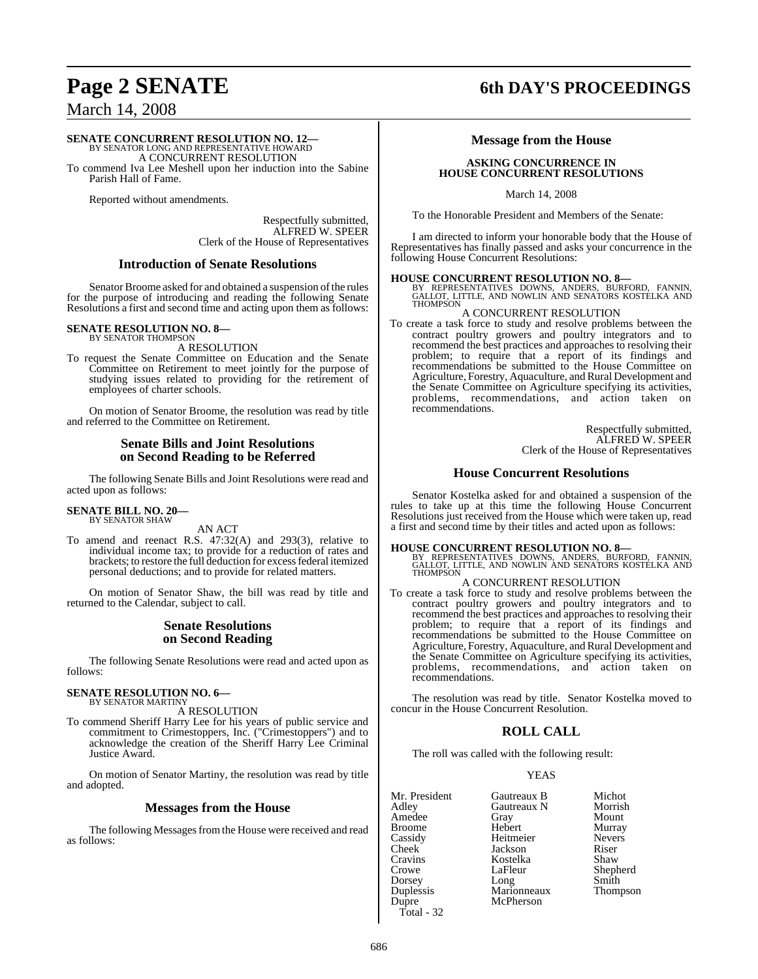# **Page 2 SENATE 6th DAY'S PROCEEDINGS**

## March 14, 2008

#### **SENATE CONCURRENT RESOLUTION NO. 12—**

BY SENATOR LONG AND REPRESENTATIVE HOWARD A CONCURRENT RESOLUTION

To commend Iva Lee Meshell upon her induction into the Sabine Parish Hall of Fame.

Reported without amendments.

Respectfully submitted, ALFRED W. SPEER Clerk of the House of Representatives

#### **Introduction of Senate Resolutions**

Senator Broome asked for and obtained a suspension of the rules for the purpose of introducing and reading the following Senate Resolutions a first and second time and acting upon them as follows:

#### **SENATE RESOLUTION NO. 8—**

BY SENATOR THOMPSON A RESOLUTION

To request the Senate Committee on Education and the Senate Committee on Retirement to meet jointly for the purpose of studying issues related to providing for the retirement of employees of charter schools.

On motion of Senator Broome, the resolution was read by title and referred to the Committee on Retirement.

#### **Senate Bills and Joint Resolutions on Second Reading to be Referred**

The following Senate Bills and Joint Resolutions were read and acted upon as follows:

#### **SENATE BILL NO. 20—** BY SENATOR SHAW

AN ACT

To amend and reenact R.S. 47:32(A) and 293(3), relative to individual income tax; to provide for a reduction of rates and brackets; to restore the full deduction for excessfederal itemized personal deductions; and to provide for related matters.

On motion of Senator Shaw, the bill was read by title and returned to the Calendar, subject to call.

#### **Senate Resolutions on Second Reading**

The following Senate Resolutions were read and acted upon as follows:

#### **SENATE RESOLUTION NO. 6—** BY SENATOR MARTINY

A RESOLUTION

To commend Sheriff Harry Lee for his years of public service and commitment to Crimestoppers, Inc. ("Crimestoppers") and to acknowledge the creation of the Sheriff Harry Lee Criminal Justice Award.

On motion of Senator Martiny, the resolution was read by title and adopted.

#### **Messages from the House**

The following Messages from the House were received and read as follows:

#### **Message from the House**

#### **ASKING CONCURRENCE IN HOUSE CONCURRENT RESOLUTIONS**

March 14, 2008

To the Honorable President and Members of the Senate:

I am directed to inform your honorable body that the House of Representatives has finally passed and asks your concurrence in the following House Concurrent Resolutions:

**HOUSE CONCURRENT RESOLUTION NO. 8—**<br>BY REPRESENTATIVES DOWNS, ANDERS, BURFORD, FANNIN,<br>GALLOT, LITTLE, AND NOWLIN AND SENATORS KOSTELKA AND<br>THOMPSON

#### A CONCURRENT RESOLUTION

To create a task force to study and resolve problems between the contract poultry growers and poultry integrators and to recommend the best practices and approaches to resolving their problem; to require that a report of its findings and recommendations be submitted to the House Committee on Agriculture, Forestry, Aquaculture, and Rural Development and the Senate Committee on Agriculture specifying its activities, problems, recommendations, and action taken on recommendations.

> Respectfully submitted, ALFRED W. SPEER Clerk of the House of Representatives

#### **House Concurrent Resolutions**

Senator Kostelka asked for and obtained a suspension of the rules to take up at this time the following House Concurrent Resolutions just received from the House which were taken up, read a first and second time by their titles and acted upon as follows:

#### **HOUSE CONCURRENT RESOLUTION NO. 8—**

BY REPRESENTATIVES DOWNS, ANDERS, BURFORD, FANNIN, GALLOT, LITTLE, AND NOWLIN AND SENATORS KOSTELKA AND **THOMPSON** 

#### A CONCURRENT RESOLUTION

To create a task force to study and resolve problems between the contract poultry growers and poultry integrators and to recommend the best practices and approaches to resolving their problem; to require that a report of its findings and recommendations be submitted to the House Committee on Agriculture, Forestry, Aquaculture, and Rural Development and the Senate Committee on Agriculture specifying its activities, problems, recommendations, and action taken on recommendations.

The resolution was read by title. Senator Kostelka moved to concur in the House Concurrent Resolution.

### **ROLL CALL**

The roll was called with the following result:

#### YEAS

| Mr. President      | Gautreaux B | Michot        |
|--------------------|-------------|---------------|
| Adley              | Gautreaux N | Morrish       |
| Amedee             | Gray        | Mount         |
| Broome             | Hebert      | Murray        |
| Cassidy            | Heitmeier   | <b>Nevers</b> |
| Cheek <sup>-</sup> | Jackson     | Riser         |
| Cravins            | Kostelka    | Shaw          |
| Crowe              | LaFleur     | Shepherd      |
| Dorsey             | Long        | Smith         |
| Duplessis          | Marionneaux | Thompson      |
| Dupre              | McPherson   |               |
|                    |             |               |

Total - 32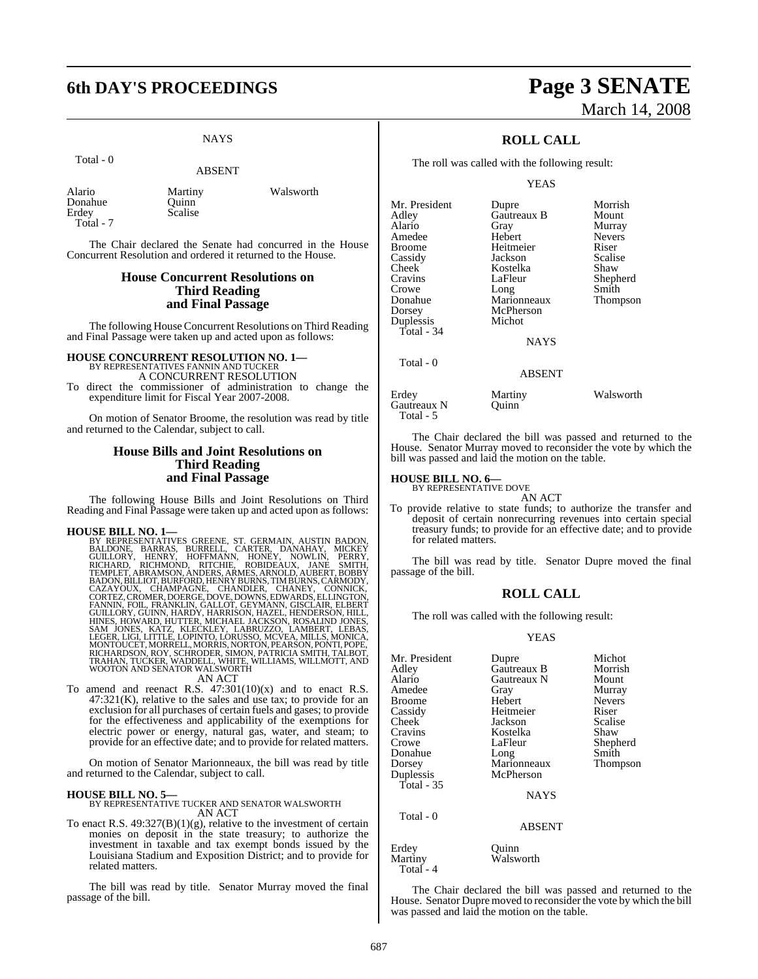# **6th DAY'S PROCEEDINGS Page 3 SENATE**

### **NAYS**

Total - 0

#### ABSENT

| Alario    | Martiny | Walsworth |
|-----------|---------|-----------|
| Donahue   | Ouinn   |           |
| Erdev     | Scalise |           |
| Total - 7 |         |           |

The Chair declared the Senate had concurred in the House Concurrent Resolution and ordered it returned to the House.

#### **House Concurrent Resolutions on Third Reading and Final Passage**

The following House Concurrent Resolutions on Third Reading and Final Passage were taken up and acted upon as follows:

#### **HOUSE CONCURRENT RESOLUTION NO. 1—**

BY REPRESENTATIVES FANNIN AND TUCKER

A CONCURRENT RESOLUTION To direct the commissioner of administration to change the expenditure limit for Fiscal Year 2007-2008.

On motion of Senator Broome, the resolution was read by title and returned to the Calendar, subject to call.

### **House Bills and Joint Resolutions on Third Reading and Final Passage**

The following House Bills and Joint Resolutions on Third Reading and Final Passage were taken up and acted upon as follows:

HOUSE BILL NO. 1—<br>
BY REPRESENTATIVES GREENE, ST. GERMAIN, AUSTIN BADON,<br>
BALDONE, BARRAS, BURRELL, CARTER, DANAHAY, MICKEY<br>
GUILLORY, HENRY, HOFFMANN, HONEY, NOWLIN, PERRY,<br>
RICHARD, RICHMOND, RITCHIE, ROBIDEAUX, JANE SMI

To amend and reenact R.S.  $47:301(10)(x)$  and to enact R.S.  $47:321(K)$ , relative to the sales and use tax; to provide for an exclusion for all purchases of certain fuels and gases; to provide for the effectiveness and applicability of the exemptions for electric power or energy, natural gas, water, and steam; to provide for an effective date; and to provide for related matters.

On motion of Senator Marionneaux, the bill was read by title and returned to the Calendar, subject to call.

**HOUSE BILL NO. 5—** BY REPRESENTATIVE TUCKER AND SENATOR WALSWORTH AN ACT

To enact R.S.  $49:327(B)(1)(g)$ , relative to the investment of certain monies on deposit in the state treasury; to authorize the investment in taxable and tax exempt bonds issued by the Louisiana Stadium and Exposition District; and to provide for related matters.

The bill was read by title. Senator Murray moved the final passage of the bill.

# March 14, 2008

### **ROLL CALL**

The roll was called with the following result:

#### YEAS

| Mr. President | Dupre         | Morrish       |
|---------------|---------------|---------------|
| Adley         | Gautreaux B   | Mount         |
| Alario        | Gray          | Murray        |
| Amedee        | Hebert        | <b>Nevers</b> |
| <b>Broome</b> | Heitmeier     | Riser         |
| Cassidy       | Jackson       | Scalise       |
| Cheek         | Kostelka      | Shaw          |
| Cravins       | LaFleur       | Shepherd      |
| Crowe         | Long          | Smith         |
| Donahue       | Marionneaux   | Thompson      |
| Dorsey        | McPherson     |               |
| Duplessis     | Michot        |               |
| Total - 34    |               |               |
|               | <b>NAYS</b>   |               |
| Total - 0     |               |               |
|               | <b>ABSENT</b> |               |
| Erdev         | Martinv       | Walsworth     |

Gautreaux N Quinn Total - 5 The Chair declared the bill was passed and returned to the

House. Senator Murray moved to reconsider the vote by which the bill was passed and laid the motion on the table.

# **HOUSE BILL NO. 6—** BY REPRESENTATIVE DOVE

AN ACT

To provide relative to state funds; to authorize the transfer and deposit of certain nonrecurring revenues into certain special treasury funds; to provide for an effective date; and to provide for related matters.

The bill was read by title. Senator Dupre moved the final passage of the bill.

#### **ROLL CALL**

The roll was called with the following result:

#### YEAS

| Mr. President        | Dupre         | Michot        |
|----------------------|---------------|---------------|
| Adley                | Gautreaux B   | Morrish       |
| Alario               | Gautreaux N   | Mount         |
| Amedee               | Gray          | Murray        |
| Broome               | Hebert        | <b>Nevers</b> |
| Cassidy              | Heitmeier     | Riser         |
| Cheek <sup>-</sup>   | Jackson       | Scalise       |
| Cravins              | Kostelka      | Shaw          |
| Crowe                | LaFleur       | Shepherd      |
| Donahue              | Long          | Smith         |
| Dorsey               | Marionneaux   | Thompson      |
| Duplessis            | McPherson     |               |
| Total - 35           |               |               |
|                      | <b>NAYS</b>   |               |
| Total - 0            |               |               |
|                      | <b>ABSENT</b> |               |
| Erdey                | Quinn         |               |
| Martiny<br>Total - 4 | Walsworth     |               |
|                      |               |               |

The Chair declared the bill was passed and returned to the House. Senator Dupre moved to reconsider the vote by which the bill was passed and laid the motion on the table.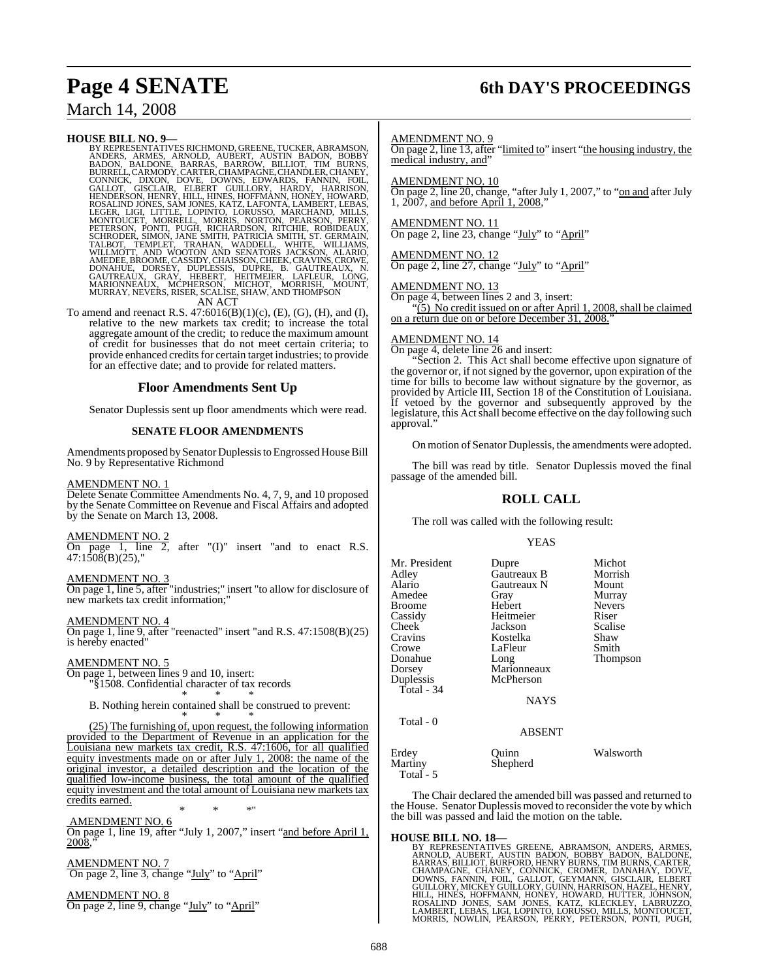## March 14, 2008

#### **HOUSE BILL NO. 9—**

BY REPRESENTATIVES RICHMOND, GREENE, TUCKER, ABRAMSON, ANDERS, ARMES, ARNON, BODBY, BORBY, AUSTIN BADON, BOBBY, BARNOY, CARMOD, CARMEN, CONNICK, CANNOY, CARNED, CONNICK, CONNICK, DISCLAIR, CONNICK, CONNICK, DISCLAIR, ELBER

To amend and reenact R.S.  $47:6016(B)(1)(c)$ , (E), (G), (H), and (I), relative to the new markets tax credit; to increase the total aggregate amount of the credit; to reduce the maximum amount of credit for businesses that do not meet certain criteria; to provide enhanced creditsfor certain target industries; to provide for an effective date; and to provide for related matters.

#### **Floor Amendments Sent Up**

Senator Duplessis sent up floor amendments which were read.

#### **SENATE FLOOR AMENDMENTS**

Amendments proposed by Senator Duplessis to Engrossed House Bill No. 9 by Representative Richmond

#### AMENDMENT NO. 1

Delete Senate Committee Amendments No. 4, 7, 9, and 10 proposed by the Senate Committee on Revenue and Fiscal Affairs and adopted by the Senate on March 13, 2008.

#### AMENDMENT NO. 2

On page 1, line 2, after  $\Gamma(I)^n$  insert "and to enact R.S. 47:1508(B)(25),"

#### AMENDMENT NO. 3

On page 1, line 5, after "industries;" insert "to allow for disclosure of new markets tax credit information;

#### AMENDMENT NO. 4

On page 1, line 9, after "reenacted" insert "and R.S. 47:1508(B)(25) is hereby enacted"

#### AMENDMENT NO. 5

On page 1, between lines 9 and 10, insert: "§1508. Confidential character of tax records \* \* \*

B. Nothing herein contained shall be construed to prevent: \* \* \*

(25) The furnishing of, upon request, the following information provided to the Department of Revenue in an application for the Louisiana new markets tax credit, R.S. 47:1606, for all qualified equity investments made on or after July 1, 2008: the name of the original investor, a detailed description and the location of the qualified low-income business, the total amount of the qualified equity investment and the total amount of Louisiana new markets tax credits earned. \* \* \*"

AMENDMENT NO. 6

On page 1, line 19, after "July 1, 2007," insert "and before April 1, 2008.

AMENDMENT NO. 7 On page 2, line 3, change "July" to "April"

AMENDMENT NO. 8 On page 2, line 9, change "July" to "April"

# **Page 4 SENATE 6th DAY'S PROCEEDINGS**

#### AMENDMENT NO. 9

On page 2, line 13, after "limited to" insert "the housing industry, the medical industry, and"

AMENDMENT NO. 10

On page 2, line 20, change, "after July 1, 2007," to " $\underline{\text{on and}}$  after July 1, 2007, and before April 1, 2008,"  $1, 2007$ , and before April  $1$ 

#### AMENDMENT NO. 11

On page 2, line 23, change "July" to "April"

#### AMENDMENT NO. 12

On page 2, line 27, change "July" to "April"

#### AMENDMENT NO. 13

On page 4, between lines 2 and 3, insert:

"(5) No credit issued on or after April 1, 2008, shall be claimed on a return due on or before December 31, 2008.'

#### AMENDMENT NO. 14

On page 4, delete line 26 and insert:

"Section 2. This Act shall become effective upon signature of the governor or, if not signed by the governor, upon expiration of the time for bills to become law without signature by the governor, as provided by Article III, Section 18 of the Constitution of Louisiana. If vetoed by the governor and subsequently approved by the legislature, this Act shall become effective on the day following such approval."

On motion of Senator Duplessis, the amendments were adopted.

The bill was read by title. Senator Duplessis moved the final passage of the amended bill.

### **ROLL CALL**

The roll was called with the following result:

#### **YEAS**

| Mr. President | Dupre         | Michot        |
|---------------|---------------|---------------|
| Adley         | Gautreaux B   | Morrish       |
|               |               |               |
| Alario        | Gautreaux N   | Mount         |
| Amedee        | Gray          | Murray        |
| <b>Broome</b> | Hebert        | <b>Nevers</b> |
| Cassidy       | Heitmeier     | Riser         |
| Cheek         | Jackson       | Scalise       |
| Cravins       | Kostelka      | Shaw          |
| Crowe         | LaFleur       | Smith         |
| Donahue       | Long          | Thompson      |
| Dorsey        | Marionneaux   |               |
| Duplessis     | McPherson     |               |
| Total - 34    |               |               |
|               | <b>NAYS</b>   |               |
| Total - 0     |               |               |
|               | <b>ABSENT</b> |               |
| Erdey         | Ouinn         | Walsworth     |
| Martiny       | Shepherd      |               |

Total - 5

The Chair declared the amended bill was passed and returned to the House. Senator Duplessis moved to reconsider the vote by which the bill was passed and laid the motion on the table.

**HOUSE BILL NO. 18—**<br>BY REPRESENTATIVES GREENE, ABRAMSON, ANDERS, ARMES,<br>ARNOLD, AUBERT, AUSTIN BADON, BOBBY BADON, BALDONE,<br>BARRAS, BILLIOT, BURFORD, HENRY BURNS, TIM BURNS, CARTER,<br>CHAMPAGNE, CHANEY, CONNICK, CROMER, DAN MORRIS, NOWLIN, PEARSON, PERRY, PETERSON, PONTI, PUGH,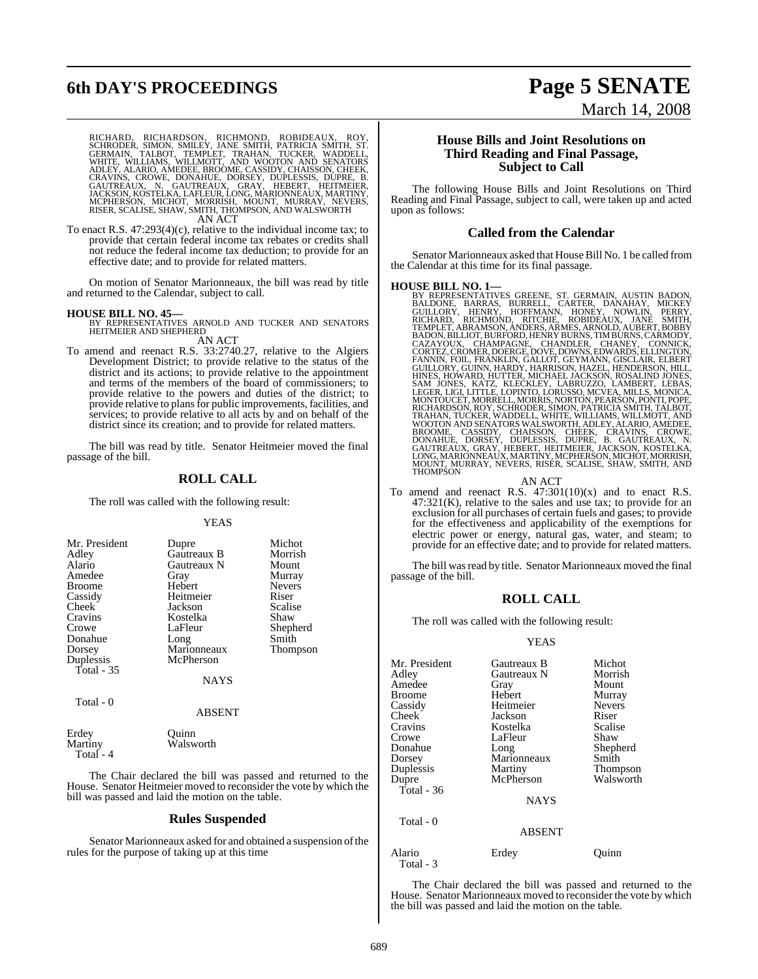# **6th DAY'S PROCEEDINGS Page 5 SENATE**

RICHARD, RICHARDSON, RICHMOND, ROBIDEAUX, ROY,<br>SCHRODER, SIMON, SMILEY, JANE SMITH, PATRICIA SMITH, ST.<br>GERMAIN, TALBOT, TEMPLET, TRAHAN, TUCKER, WADDELL,<br>WHITE, WILLIAMS, WILLMOTT, AND WOOTON AND SENATORS<br>ADLEY, ALARIO, A AN ACT

To enact R.S. 47:293(4)(c), relative to the individual income tax; to provide that certain federal income tax rebates or credits shall not reduce the federal income tax deduction; to provide for an effective date; and to provide for related matters.

On motion of Senator Marionneaux, the bill was read by title and returned to the Calendar, subject to call.

#### **HOUSE BILL NO. 45—**

BY REPRESENTATIVES ARNOLD AND TUCKER AND SENATORS HEITMEIER AND SHEPHERD AN ACT

To amend and reenact R.S. 33:2740.27, relative to the Algiers Development District; to provide relative to the status of the district and its actions; to provide relative to the appointment and terms of the members of the board of commissioners; to provide relative to the powers and duties of the district; to provide relative to plans for public improvements, facilities, and services; to provide relative to all acts by and on behalf of the district since its creation; and to provide for related matters.

The bill was read by title. Senator Heitmeier moved the final passage of the bill.

### **ROLL CALL**

The roll was called with the following result:

#### YEAS

| Mr. President | Dupre       | Michot          |
|---------------|-------------|-----------------|
| Adley         | Gautreaux B | Morrish         |
| Alario        | Gautreaux N | Mount           |
| Amedee        | Gray        | Murray          |
| <b>Broome</b> | Hebert      | <b>Nevers</b>   |
| Cassidy       | Heitmeier   | Riser           |
| Cheek         | Jackson     | Scalise         |
| Cravins       | Kostelka    | Shaw            |
| Crowe         | LaFleur     | Shepherd        |
| Donahue       | Long        | Smith           |
| Dorsey        | Marionneaux | <b>Thompson</b> |
| Duplessis     | McPherson   |                 |
| Total $-35$   |             |                 |
|               | NAYS        |                 |

Total - 0

| Erdev     | Ouinn     |
|-----------|-----------|
| Martinv   | Walsworth |
| Total - 4 |           |

The Chair declared the bill was passed and returned to the House. Senator Heitmeier moved to reconsider the vote by which the bill was passed and laid the motion on the table.

ABSENT

#### **Rules Suspended**

Senator Marionneaux asked for and obtained a suspension of the rules for the purpose of taking up at this time

### **House Bills and Joint Resolutions on Third Reading and Final Passage, Subject to Call**

The following House Bills and Joint Resolutions on Third Reading and Final Passage, subject to call, were taken up and acted upon as follows:

#### **Called from the Calendar**

Senator Marionneaux asked that House Bill No. 1 be called from the Calendar at this time for its final passage.

HOUSE BILL NO. 1—<br>
BY REPRESENTATIVES GREENE, ST. GERMAIN, AUSTIN BADON,<br>
BALDONE, BARRAS, BURRELL, CARTER, DANAHAY, MICKEY<br>
GUILLORY, HENRY, HOFFMANN, HONEY, NOWLIN, PERRY,<br>
RICHARD, RICHMOND, RITCHIE, ROBIDEAUX, JANE SMI

AN ACT<br>To amend and reenact R.S.  $47:301(10)(x)$  and to enact R.S.  $47:321(K)$ , relative to the sales and use tax; to provide for an exclusion for all purchases of certain fuels and gases; to provide for the effectiveness and applicability of the exemptions for electric power or energy, natural gas, water, and steam; to provide for an effective date; and to provide for related matters.

The bill was read by title. Senator Marionneaux moved the final passage of the bill.

#### **ROLL CALL**

The roll was called with the following result:

#### YEAS

| Mr. President       | Gautreaux B   | Michot        |
|---------------------|---------------|---------------|
| Adlev               | Gautreaux N   | Morrish       |
| Amedee              | Gray          | Mount         |
| Broome              | Hebert        | Murray        |
| Cassidy             | Heitmeier     | <b>Nevers</b> |
| Cheek               | Jackson       | Riser         |
| Cravins             | Kostelka      | Scalise       |
| Crowe               | LaFleur       | Shaw          |
| Donahue             | Long          | Shepherd      |
| Dorsey              | Marionneaux   | Smith         |
| Duplessis           | Martiny       | Thompson      |
| Dupre               | McPherson     | Walsworth     |
| Total - 36          |               |               |
|                     | <b>NAYS</b>   |               |
| Total - 0           |               |               |
|                     | <b>ABSENT</b> |               |
| Alario<br>Total - 3 | Erdey         | Ouınn         |

The Chair declared the bill was passed and returned to the House. Senator Marionneaux moved to reconsider the vote by which the bill was passed and laid the motion on the table.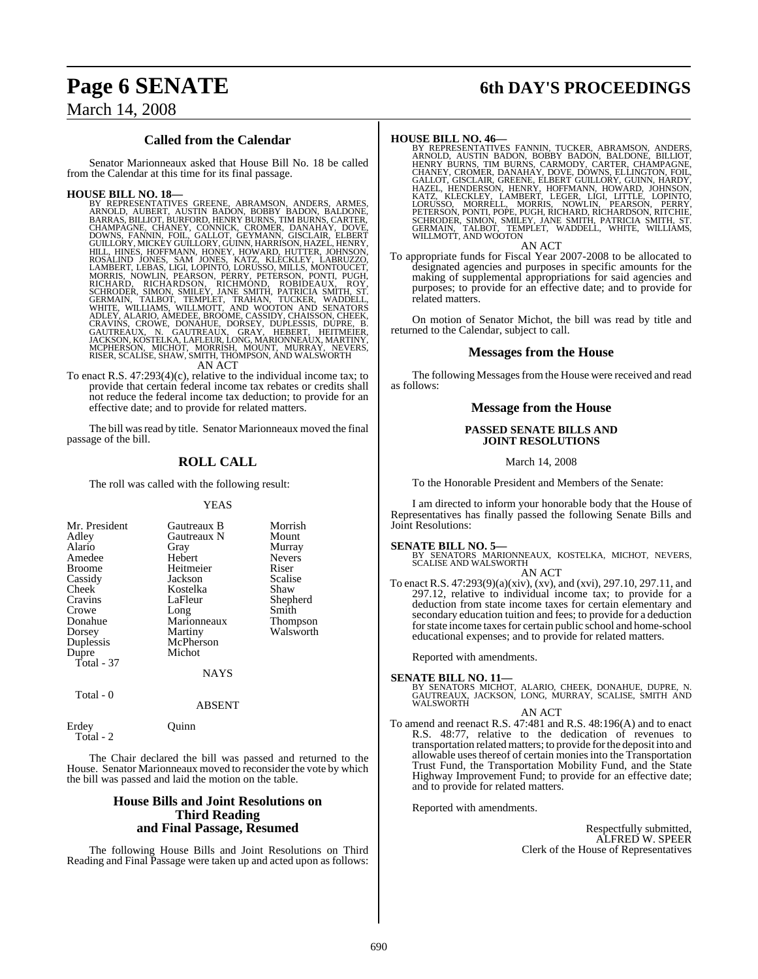# **Page 6 SENATE 6th DAY'S PROCEEDINGS**

## March 14, 2008

### **Called from the Calendar**

Senator Marionneaux asked that House Bill No. 18 be called from the Calendar at this time for its final passage.

HOUSE BILL NO. 18—<br>BY REPRESENTATIVES GREENE, ABRAMSON, ANDERS, ARMES, ARNOLD, AUBERT, AUSTIN BADON, BOBBY BADON, BALDONE, BARRAS, BILLIOT, BURFORD, HENRY BURNS, CIMBURNS, CARTER, CHANPAGNE, CHANEY, CONNICK, CROMER, DOWNS,

To enact R.S. 47:293(4)(c), relative to the individual income tax; to provide that certain federal income tax rebates or credits shall not reduce the federal income tax deduction; to provide for an effective date; and to provide for related matters.

The bill was read by title. Senator Marionneaux moved the final passage of the bill.

### **ROLL CALL**

The roll was called with the following result:

#### YEAS

| Mr. President | Gautreaux B | Morrish         |
|---------------|-------------|-----------------|
| Adley         | Gautreaux N | Mount           |
| Alario        | Gray        | Murray          |
| Amedee        | Hebert      | <b>Nevers</b>   |
| <b>Broome</b> | Heitmeier   | Riser           |
| Cassidy       | Jackson     | <b>Scalise</b>  |
| Cheek         | Kostelka    | Shaw            |
| Cravins       | LaFleur     | Shepherd        |
| Crowe         | Long        | Smith           |
| Donahue       | Marionneaux | <b>Thompson</b> |
| Dorsey        | Martiny     | Walsworth       |
| Duplessis     | McPherson   |                 |
| Dupre         | Michot      |                 |
| Total - 37    |             |                 |
|               | <b>NAYS</b> |                 |
|               |             |                 |

## Total - 0

ABSENT

Erdey Quinn Total - 2

The Chair declared the bill was passed and returned to the House. Senator Marionneaux moved to reconsider the vote by which the bill was passed and laid the motion on the table.

### **House Bills and Joint Resolutions on Third Reading and Final Passage, Resumed**

The following House Bills and Joint Resolutions on Third Reading and Final Passage were taken up and acted upon as follows:

HOUSE BILL NO. 46—<br>BY REPRESENTATIVES FANNIN, TUCKER, ABRAMSON, ANDERS, REPRESENTATIVES FANNIN, BOBBY BADON, BALDONE, BILLIOT,<br>HENRY BURNS, TIM BURNS, CARMODY, CARTER, CHAMPAGNE,<br>CHANEY, CROMER, DANAHAY, DOVE, DOWNS, ELLIN

#### AN ACT

To appropriate funds for Fiscal Year 2007-2008 to be allocated to designated agencies and purposes in specific amounts for the making of supplemental appropriations for said agencies and purposes; to provide for an effective date; and to provide for related matters.

On motion of Senator Michot, the bill was read by title and returned to the Calendar, subject to call.

#### **Messages from the House**

The following Messages from the House were received and read as follows:

#### **Message from the House**

#### **PASSED SENATE BILLS AND JOINT RESOLUTIONS**

March 14, 2008

To the Honorable President and Members of the Senate:

I am directed to inform your honorable body that the House of Representatives has finally passed the following Senate Bills and Joint Resolutions:

**SENATE BILL NO. 5—**<br>BY SENATORS MARIONNEAUX, KOSTELKA, MICHOT, NEVERS, SCALISE AND WALSWORTH AN ACT

To enact R.S. 47:293(9)(a)(xiv), (xv), and (xvi), 297.10, 297.11, and 297.12, relative to individual income tax; to provide for a deduction from state income taxes for certain elementary and secondary education tuition and fees; to provide for a deduction for state income taxes for certain public school and home-school educational expenses; and to provide for related matters.

Reported with amendments.

**SENATE BILL NO. 11—**<br>BY SENATORS MICHOT, ALARIO, CHEEK, DONAHUE, DUPRE, N.<br>GAUTREAUX, JACKSON, LONG, MURRAY, SCALISE, SMITH AND<br>WALSWORTH

#### AN ACT

To amend and reenact R.S. 47:481 and R.S. 48:196(A) and to enact R.S. 48:77, relative to the dedication of revenues to transportation related matters; to provide forthe deposit into and allowable uses thereof of certain monies into the Transportation Trust Fund, the Transportation Mobility Fund, and the State Highway Improvement Fund; to provide for an effective date; and to provide for related matters.

Reported with amendments.

Respectfully submitted, ALFRED W. SPEER Clerk of the House of Representatives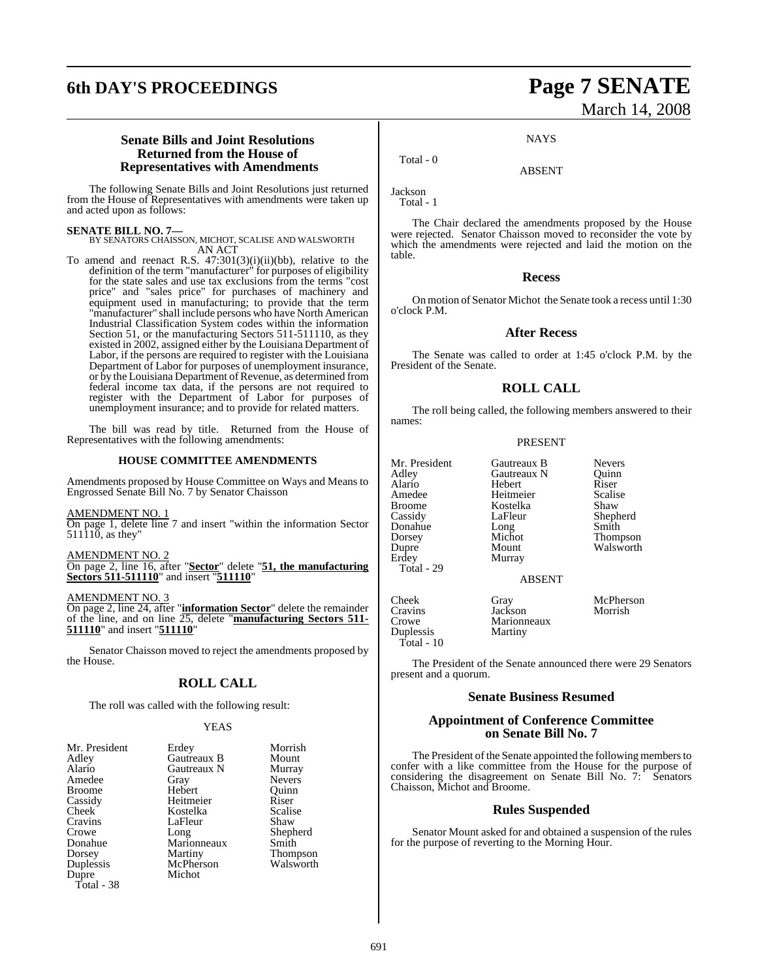# **6th DAY'S PROCEEDINGS Page 7 SENATE**

# March 14, 2008

### **Senate Bills and Joint Resolutions Returned from the House of Representatives with Amendments**

The following Senate Bills and Joint Resolutions just returned from the House of Representatives with amendments were taken up and acted upon as follows:

#### **SENATE BILL NO. 7—**

BY SENATORS CHAISSON, MICHOT, SCALISE AND WALSWORTH AN ACT

To amend and reenact R.S. 47:301(3)(i)(ii)(bb), relative to the definition of the term "manufacturer" for purposes of eligibility for the state sales and use tax exclusions from the terms "cost price" and "sales price" for purchases of machinery and equipment used in manufacturing; to provide that the term "manufacturer" shall include persons who have North American Industrial Classification System codes within the information Section 51, or the manufacturing Sectors 511-511110, as they existed in 2002, assigned either by the Louisiana Department of Labor, if the persons are required to register with the Louisiana Department of Labor for purposes of unemployment insurance, or by the Louisiana Department of Revenue, as determined from federal income tax data, if the persons are not required to register with the Department of Labor for purposes of unemployment insurance; and to provide for related matters.

The bill was read by title. Returned from the House of Representatives with the following amendments:

#### **HOUSE COMMITTEE AMENDMENTS**

Amendments proposed by House Committee on Ways and Means to Engrossed Senate Bill No. 7 by Senator Chaisson

#### AMENDMENT NO. 1

On page 1, delete line 7 and insert "within the information Sector  $511\overline{110}$ , as they'

#### AMENDMENT NO. 2

On page 2, line 16, after "**Sector**" delete "**51, the manufacturing Sectors 511-511110**" and insert "**511110**"

#### AMENDMENT NO. 3

On page 2, line 24, after "**information Sector**" delete the remainder of the line, and on line 25, delete "**manufacturing Sectors 511- 511110**" and insert "**511110**"

Senator Chaisson moved to reject the amendments proposed by the House.

### **ROLL CALL**

The roll was called with the following result:

#### YEAS

| Mr. President | Erdey       | Morrish         |
|---------------|-------------|-----------------|
| Adley         | Gautreaux B | Mount           |
| Alario        | Gautreaux N | Murray          |
| Amedee        | Gray        | <b>Nevers</b>   |
| <b>Broome</b> | Hebert      | Ouinn           |
| Cassidy       | Heitmeier   | Riser           |
| Cheek         | Kostelka    | Scalise         |
| Cravins       | LaFleur     | Shaw            |
| Crowe         | Long        | Shepherd        |
| Donahue       | Marionneaux | Smith           |
| Dorsey        | Martiny     | <b>Thompson</b> |
| Duplessis     | McPherson   | Walsworth       |
| Dupre         | Michot      |                 |
| Total - 38    |             |                 |

**NAYS** 

ABSENT

Total - 0

Jackson Total - 1

The Chair declared the amendments proposed by the House were rejected. Senator Chaisson moved to reconsider the vote by which the amendments were rejected and laid the motion on the table.

#### **Recess**

On motion of Senator Michot the Senate took a recess until 1:30 o'clock P.M.

#### **After Recess**

The Senate was called to order at 1:45 o'clock P.M. by the President of the Senate.

### **ROLL CALL**

The roll being called, the following members answered to their names:

#### PRESENT

| Mr. President<br>Adley<br>Alario<br>Amedee<br>Broome<br>Cassidy<br>Donahue<br>Dorsey<br>Dupre<br>Erdev<br>Total - 29 | Gautreaux B<br>Gautreaux N<br>Hebert<br>Heitmeier<br>Kostelka<br>LaFleur<br>Long<br>Michot<br>Mount<br>Murray | <b>Nevers</b><br>Ouinn<br>Riser<br>Scalise<br>Shaw<br>Shepherd<br>Smith<br>Thompson<br>Walsworth |
|----------------------------------------------------------------------------------------------------------------------|---------------------------------------------------------------------------------------------------------------|--------------------------------------------------------------------------------------------------|
| Cheek<br>Cravins<br>Crowe<br>Duplessis<br>Total - 10                                                                 | <b>ABSENT</b><br>Gray<br>Jackson<br>Marionneaux<br>Martiny                                                    | McPherson<br>Morrish                                                                             |

The President of the Senate announced there were 29 Senators present and a quorum.

#### **Senate Business Resumed**

#### **Appointment of Conference Committee on Senate Bill No. 7**

The President of the Senate appointed the following members to confer with a like committee from the House for the purpose of considering the disagreement on Senate Bill No. 7: Senators Chaisson, Michot and Broome.

#### **Rules Suspended**

Senator Mount asked for and obtained a suspension of the rules for the purpose of reverting to the Morning Hour.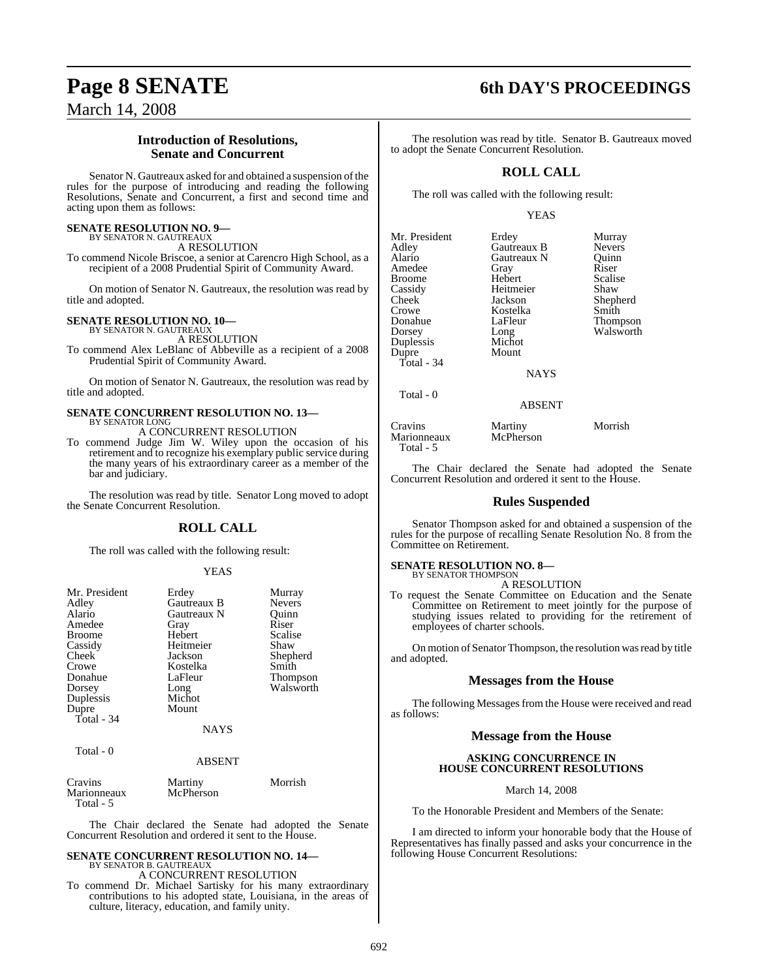# **Page 8 SENATE 6th DAY'S PROCEEDINGS**

March 14, 2008

### **Introduction of Resolutions, Senate and Concurrent**

Senator N. Gautreaux asked for and obtained a suspension of the rules for the purpose of introducing and reading the following Resolutions, Senate and Concurrent, a first and second time and acting upon them as follows:

#### **SENATE RESOLUTION NO. 9—** BY SENATOR N. GAUTREAUX

A RESOLUTION

To commend Nicole Briscoe, a senior at Carencro High School, as a recipient of a 2008 Prudential Spirit of Community Award.

On motion of Senator N. Gautreaux, the resolution was read by title and adopted.

# **SENATE RESOLUTION NO. 10—** BY SENATOR N. GAUTREAUX

A RESOLUTION

To commend Alex LeBlanc of Abbeville as a recipient of a 2008 Prudential Spirit of Community Award.

On motion of Senator N. Gautreaux, the resolution was read by title and adopted.

#### **SENATE CONCURRENT RESOLUTION NO. 13—** BY SENATOR LONG

A CONCURRENT RESOLUTION

To commend Judge Jim W. Wiley upon the occasion of his retirement and to recognize his exemplary public service during the many years of his extraordinary career as a member of the bar and judiciary.

The resolution was read by title. Senator Long moved to adopt the Senate Concurrent Resolution.

### **ROLL CALL**

The roll was called with the following result:

#### YEAS

| Mr. President<br>Adley<br>Alario<br>Amedee<br><b>Broome</b><br>Cassidy<br>Cheek<br>Crowe<br>Donahue<br>Dorsey<br>Duplessis<br>Dupre<br>Total - $34$ | Erdey<br>Gautreaux B<br>Gautreaux N<br>Gray<br>Hebert<br>Heitmeier<br>Jackson<br>Kostelka<br>LaFleur<br>Long<br>Michot<br>Mount<br><b>NAYS</b> | Murray<br><b>Nevers</b><br>Ouinn<br>Riser<br>Scalise<br>Shaw<br>Shepherd<br>Smith<br>Thompson<br>Walsworth |
|-----------------------------------------------------------------------------------------------------------------------------------------------------|------------------------------------------------------------------------------------------------------------------------------------------------|------------------------------------------------------------------------------------------------------------|
| Total - 0                                                                                                                                           | <b>ABSENT</b>                                                                                                                                  |                                                                                                            |
|                                                                                                                                                     |                                                                                                                                                |                                                                                                            |

| Cravins     | Martiny   | Morrish |
|-------------|-----------|---------|
| Marionneaux | McPherson |         |
| Total - 5   |           |         |

The Chair declared the Senate had adopted the Senate Concurrent Resolution and ordered it sent to the House.

# **SENATE CONCURRENT RESOLUTION NO. 14—** BY SENATOR B. GAUTREAUX

A CONCURRENT RESOLUTION

To commend Dr. Michael Sartisky for his many extraordinary contributions to his adopted state, Louisiana, in the areas of culture, literacy, education, and family unity.

The resolution was read by title. Senator B. Gautreaux moved to adopt the Senate Concurrent Resolution.

### **ROLL CALL**

The roll was called with the following result:

#### YEAS

| Mr. President<br>Adley<br>Alario<br>Amedee<br>Broome<br>Cassidy<br>Cheek<br>Crowe | Erdey<br>Gautreaux B<br>Gautreaux N<br>Gray<br>Hebert<br>Heitmeier<br>Jackson<br>Kostelka | Murray<br><b>Nevers</b><br>Ouinn<br>Riser<br>Scalise<br>Shaw<br>Shepherd<br>Smith |
|-----------------------------------------------------------------------------------|-------------------------------------------------------------------------------------------|-----------------------------------------------------------------------------------|
|                                                                                   |                                                                                           |                                                                                   |
|                                                                                   |                                                                                           |                                                                                   |
|                                                                                   |                                                                                           |                                                                                   |
|                                                                                   |                                                                                           |                                                                                   |
|                                                                                   |                                                                                           |                                                                                   |
|                                                                                   |                                                                                           |                                                                                   |
|                                                                                   |                                                                                           |                                                                                   |
| Donahue                                                                           | LaFleur                                                                                   | Thompson                                                                          |
| Dorsey                                                                            | Long                                                                                      | Walsworth                                                                         |
| Duplessis                                                                         | Michot                                                                                    |                                                                                   |
| Dupre                                                                             | Mount                                                                                     |                                                                                   |
| Total - 34                                                                        |                                                                                           |                                                                                   |
|                                                                                   | <b>NAYS</b>                                                                               |                                                                                   |
| Total - 0                                                                         |                                                                                           |                                                                                   |
|                                                                                   | <b>ABSENT</b>                                                                             |                                                                                   |
|                                                                                   |                                                                                           |                                                                                   |

Cravins Martiny Morrish Marionneaux Total - 5

The Chair declared the Senate had adopted the Senate Concurrent Resolution and ordered it sent to the House.

#### **Rules Suspended**

Senator Thompson asked for and obtained a suspension of the rules for the purpose of recalling Senate Resolution No. 8 from the Committee on Retirement.

# **SENATE RESOLUTION NO. 8—**<br>BY SENATOR THOMPSON

A RESOLUTION

To request the Senate Committee on Education and the Senate Committee on Retirement to meet jointly for the purpose of studying issues related to providing for the retirement of employees of charter schools.

On motion of Senator Thompson, the resolution was read by title and adopted.

### **Messages from the House**

The following Messages from the House were received and read as follows:

### **Message from the House**

#### **ASKING CONCURRENCE IN HOUSE CONCURRENT RESOLUTIONS**

March 14, 2008

To the Honorable President and Members of the Senate:

I am directed to inform your honorable body that the House of Representatives has finally passed and asks your concurrence in the following House Concurrent Resolutions: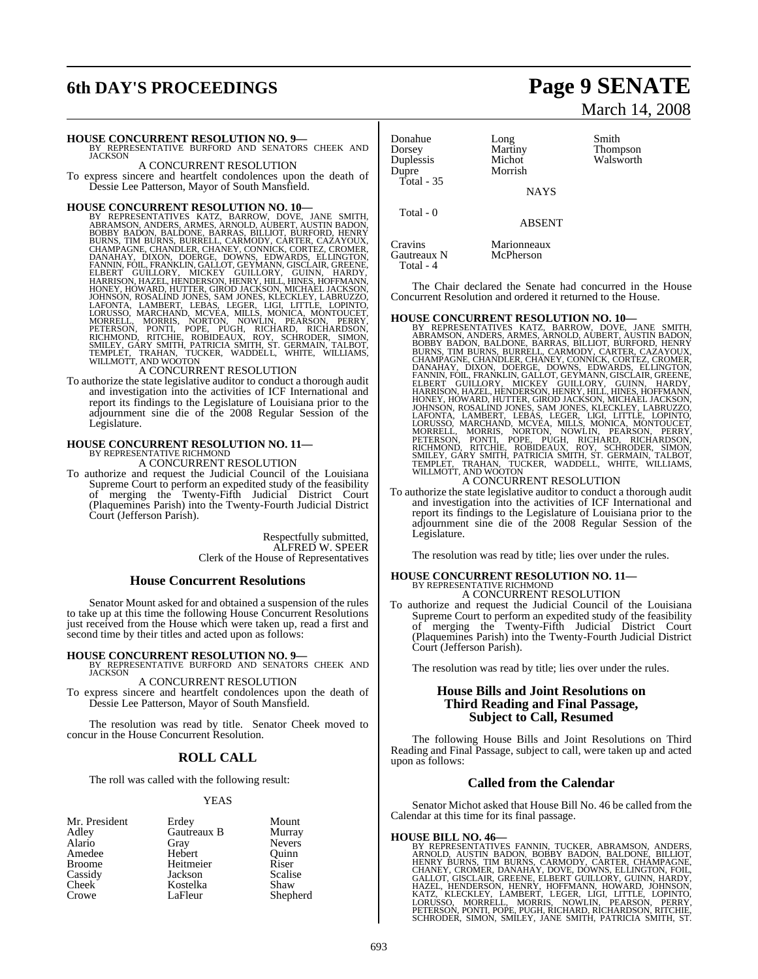# **6th DAY'S PROCEEDINGS Page 9 SENATE**

#### **HOUSE CONCURRENT RESOLUTION NO. 9—**

BY REPRESENTATIVE BURFORD AND SENATORS CHEEK AND **JACKSON** A CONCURRENT RESOLUTION

To express sincere and heartfelt condolences upon the death of Dessie Lee Patterson, Mayor of South Mansfield.

#### **HOUSE CONCURRENT RESOLUTION NO. 10—**

BY REPRESENTATIVES KATZ, BARROW, DOVE, JANE SMITH, ABRAMSON, ANDERS, ARMES, ARNOLD, AUBERT, AUSTIN BADON; BARNAS, FILLIOT, BURNEY, CHARVID, AUBERT, CAZAYOUX, CHAPAREN, CHANDI-CHAMPAGNE, CHANDLER, CHANDI-REV, CONNICK, CORTE

To authorize the state legislative auditor to conduct a thorough audit and investigation into the activities of ICF International and report its findings to the Legislature of Louisiana prior to the adjournment sine die of the 2008 Regular Session of the Legislature.

# **HOUSE CONCURRENT RESOLUTION NO. 11—** BY REPRESENTATIVE RICHMOND

A CONCURRENT RESOLUTION

To authorize and request the Judicial Council of the Louisiana Supreme Court to perform an expedited study of the feasibility of merging the Twenty-Fifth Judicial District Court (Plaquemines Parish) into the Twenty-Fourth Judicial District Court (Jefferson Parish).

> Respectfully submitted, ALFRED W. SPEER Clerk of the House of Representatives

#### **House Concurrent Resolutions**

Senator Mount asked for and obtained a suspension of the rules to take up at this time the following House Concurrent Resolutions just received from the House which were taken up, read a first and second time by their titles and acted upon as follows:

#### **HOUSE CONCURRENT RESOLUTION NO. 9—**

BY REPRESENTATIVE BURFORD AND SENATORS CHEEK AND JACKSON

A CONCURRENT RESOLUTION To express sincere and heartfelt condolences upon the death of Dessie Lee Patterson, Mayor of South Mansfield.

The resolution was read by title. Senator Cheek moved to concur in the House Concurrent Resolution.

### **ROLL CALL**

The roll was called with the following result:

#### YEAS

| Mr. President      | Erdey       | Mount         |
|--------------------|-------------|---------------|
| Adley              | Gautreaux B | Murray        |
| Alario             | Gray        | <b>Nevers</b> |
| Amedee             | Hebert      | Ouinn         |
| <b>Broome</b>      | Heitmeier   | Riser         |
| Cassidy            | Jackson     | Scalise       |
| Cheek <sup>1</sup> | Kostelka    | Shaw          |
| Crowe              | LaFleur     | Shepherd      |

#### Donahue Long Smith<br>Dorsey Martiny Thom Dorsey Martiny Thompson Duplessis Michot Walsworth<br>
Dupre Morrish Walsworth Total - 35

Total - 4

**NAYS** 

Total - 0

Cravins Marionneaux<br>
Gautreaux N McPherson McPherson

Morrish

The Chair declared the Senate had concurred in the House Concurrent Resolution and ordered it returned to the House.

ABSENT

HOUSE CONCURRENT RESOLUTION NO. 10—<br>BY REPRESENTATIVES KATZ, BARROW, DOVE, JANE SMITH,<br>BRAMSON, ANDERS, ARMES, ARNOLD, AUBERT, AUSTIN BADON,<br>BOBBY BADON, BALDONE, BARRAS, BILLIOT, BURFORD, HENRY<br>BURNS, TIM BURNS, BURELL, C

To authorize the state legislative auditor to conduct a thorough audit and investigation into the activities of ICF International and report its findings to the Legislature of Louisiana prior to the adjournment sine die of the 2008 Regular Session of the Legislature.

The resolution was read by title; lies over under the rules.

### **HOUSE CONCURRENT RESOLUTION NO. 11—** BY REPRESENTATIVE RICHMOND A CONCURRENT RESOLUTION

To authorize and request the Judicial Council of the Louisiana Supreme Court to perform an expedited study of the feasibility of merging the Twenty-Fifth Judicial District Court (Plaquemines Parish) into the Twenty-Fourth Judicial District Court (Jefferson Parish).

The resolution was read by title; lies over under the rules.

#### **House Bills and Joint Resolutions on Third Reading and Final Passage, Subject to Call, Resumed**

The following House Bills and Joint Resolutions on Third Reading and Final Passage, subject to call, were taken up and acted upon as follows:

#### **Called from the Calendar**

Senator Michot asked that House Bill No. 46 be called from the Calendar at this time for its final passage.

**HOUSE BILL NO. 46**<br>BY REPRESENTATIVES FANNIN, TUCKER, ABRAMSON, ANDERS, ARNOLD, AUSTIN BADON, BOBBY BADON, BALDONE, BILLIOT,<br>HENRY BURNS, TIM BURNS, CARMODY, CARTER, CHAMPAGNE,<br>CHANEY, CROMER, DANAHAY, DOVE, DOWNS, ELINGT

# March 14, 2008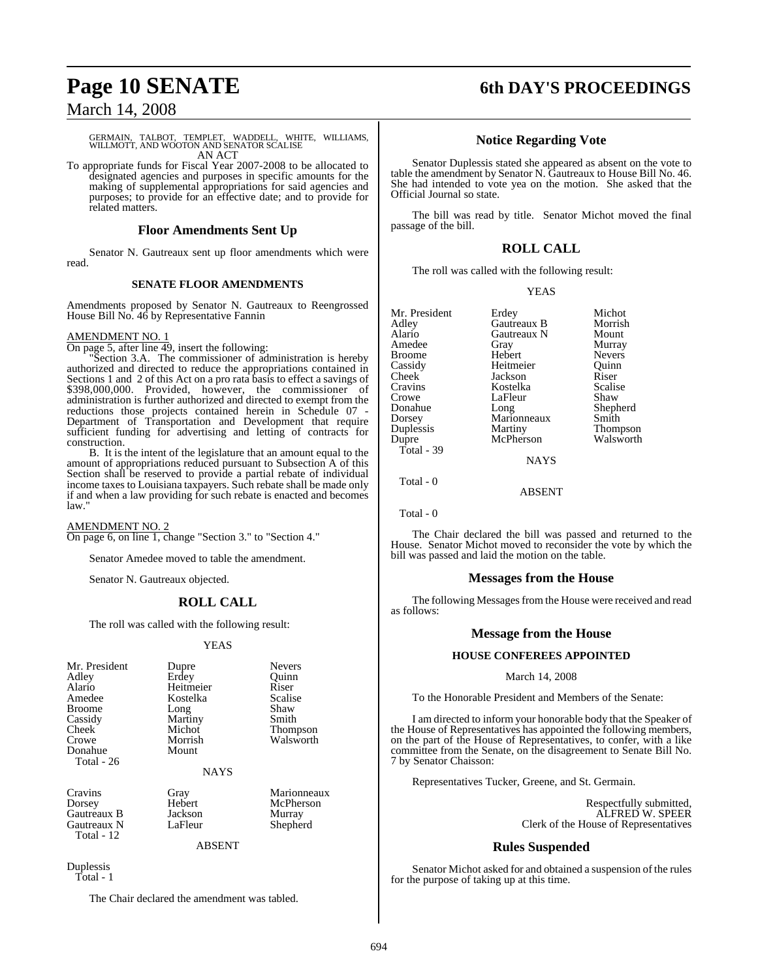## March 14, 2008

### GERMAIN, TALBOT, TEMPLET, WADDELL, WHITE, WILLIAMS, WILLMOTT, AND WOOTON AND SENATOR SCALISE AN ACT

To appropriate funds for Fiscal Year 2007-2008 to be allocated to designated agencies and purposes in specific amounts for the making of supplemental appropriations for said agencies and purposes; to provide for an effective date; and to provide for related matters.

#### **Floor Amendments Sent Up**

Senator N. Gautreaux sent up floor amendments which were read

#### **SENATE FLOOR AMENDMENTS**

Amendments proposed by Senator N. Gautreaux to Reengrossed House Bill No. 46 by Representative Fannin

#### AMENDMENT NO. 1

On page 5, after line 49, insert the following:

"Section 3.A. The commissioner of administration is hereby authorized and directed to reduce the appropriations contained in Sections 1 and 2 of this Act on a pro rata basis to effect a savings of \$398,000,000. Provided, however, the commissioner of administration is further authorized and directed to exempt from the reductions those projects contained herein in Schedule 07 - Department of Transportation and Development that require sufficient funding for advertising and letting of contracts for construction.

B. It is the intent of the legislature that an amount equal to the amount of appropriations reduced pursuant to Subsection A of this Section shall be reserved to provide a partial rebate of individual income taxes to Louisiana taxpayers. Such rebate shall be made only if and when a law providing for such rebate is enacted and becomes law."

AMENDMENT NO. 2 On page 6, on line 1, change "Section 3." to "Section 4."

Senator Amedee moved to table the amendment.

Senator N. Gautreaux objected.

### **ROLL CALL**

The roll was called with the following result:

#### YEAS

| Mr. President | Dupre     | <b>Nevers</b> |
|---------------|-----------|---------------|
| Adley         | Erdey     | Ouinn         |
| Alario        | Heitmeier | Riser         |
| Amedee        | Kostelka  | Scalise       |
| Broome        | Long      | Shaw          |
| Cassidy       | Martiny   | Smith         |
| Cheek         | Michot    | Thompson      |
| Crowe         | Morrish   | Walsworth     |
| Donahue       | Mount     |               |
| Total - 26    |           |               |
|               |           |               |

NAYS

Cravins Gray Gray Marionneaux<br>
Dorsey Hebert McPherson Gautreaux B Jackson Murray<br>Gautreaux N LaFleur Shepherd Gautreaux N Total - 12

Hebert McPherson<br>Jackson Murray

ABSENT

Duplessis Total - 1

The Chair declared the amendment was tabled.

# **Page 10 SENATE 6th DAY'S PROCEEDINGS**

### **Notice Regarding Vote**

Senator Duplessis stated she appeared as absent on the vote to table the amendment by Senator N. Gautreaux to House Bill No. 46. She had intended to vote yea on the motion. She asked that the Official Journal so state.

The bill was read by title. Senator Michot moved the final passage of the bill.

### **ROLL CALL**

The roll was called with the following result:

#### **YEAS**

| Mr. President | Erdey           | Michot          |
|---------------|-----------------|-----------------|
| Adley         | Gautreaux B     | Morrish         |
| Alario        | Gautreaux N     | Mount           |
| Amedee        | Gray            | Murray          |
| Broome        | Hebert          | <b>Nevers</b>   |
| Cassidy       | Heitmeier       | Ouinn           |
| Cheek         | Jackson         | Riser           |
| Cravins       | Kostelka        | Scalise         |
| Crowe         | LaFleur         | Shaw            |
| Donahue       | Long            | Shepherd        |
| Dorsey        | Marionneaux     | Smith           |
| Duplessis     | Martiny         | <b>Thompson</b> |
| Dupre         | McPherson       | Walsworth       |
| Total - 39    |                 |                 |
|               | <b>ATA SZCI</b> |                 |

NAYS

Total - 0

Total - 0

The Chair declared the bill was passed and returned to the House. Senator Michot moved to reconsider the vote by which the bill was passed and laid the motion on the table.

ABSENT

### **Messages from the House**

The following Messages from the House were received and read as follows:

### **Message from the House**

#### **HOUSE CONFEREES APPOINTED**

#### March 14, 2008

To the Honorable President and Members of the Senate:

I am directed to inform your honorable body that the Speaker of the House of Representatives has appointed the following members, on the part of the House of Representatives, to confer, with a like committee from the Senate, on the disagreement to Senate Bill No. 7 by Senator Chaisson:

Representatives Tucker, Greene, and St. Germain.

Respectfully submitted, ALFRED W. SPEER Clerk of the House of Representatives

### **Rules Suspended**

Senator Michot asked for and obtained a suspension of the rules for the purpose of taking up at this time.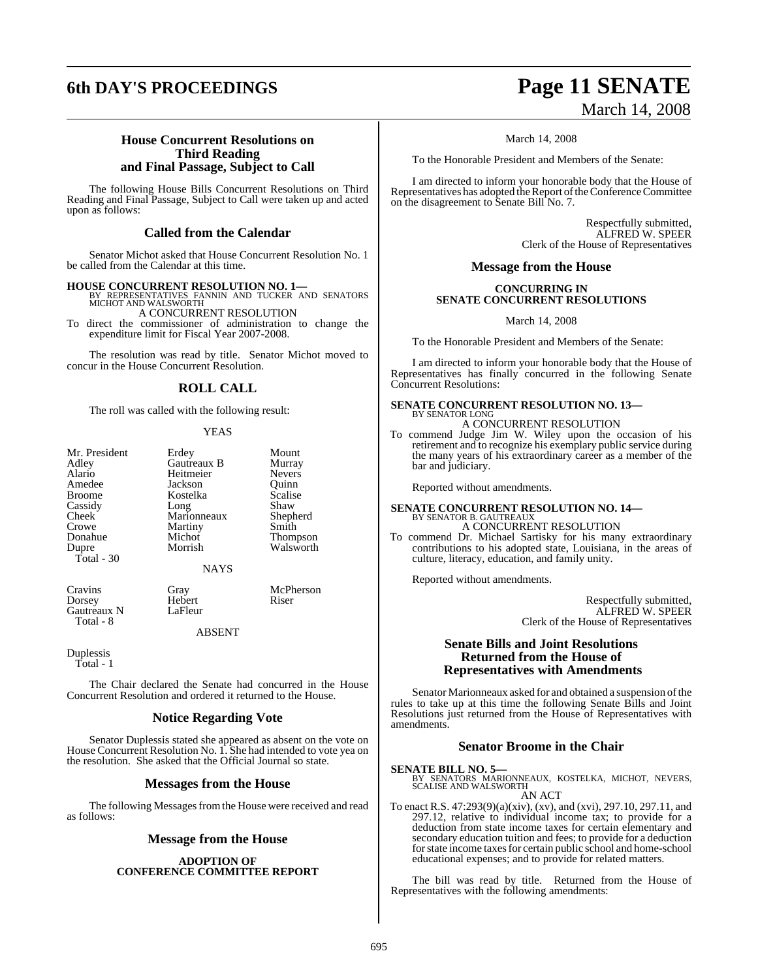# **6th DAY'S PROCEEDINGS Page 11 SENATE**

# March 14, 2008

### **House Concurrent Resolutions on Third Reading and Final Passage, Subject to Call**

The following House Bills Concurrent Resolutions on Third Reading and Final Passage, Subject to Call were taken up and acted upon as follows:

### **Called from the Calendar**

Senator Michot asked that House Concurrent Resolution No. 1 be called from the Calendar at this time.

**HOUSE CONCURRENT RESOLUTION NO. 1—**

BY REPRESENTATIVES FANNIN AND TUCKER AND SENATORS MICHOT AND WALSWORTH A CONCURRENT RESOLUTION

To direct the commissioner of administration to change the expenditure limit for Fiscal Year 2007-2008.

The resolution was read by title. Senator Michot moved to concur in the House Concurrent Resolution.

### **ROLL CALL**

The roll was called with the following result:

#### YEAS

| Mr. President      | Erdey       | Mount   |
|--------------------|-------------|---------|
| Adley              | Gautreaux B | Murray  |
| Alario             | Heitmeier   | Nevers  |
| Amedee             | Jackson     | Ouinn   |
| <b>Broome</b>      | Kostelka    | Scalise |
| Cassidy            | Long        | Shaw    |
| Cheek <sup>1</sup> | Marionneaux | Shephe  |
| Crowe              | Martiny     | Smith   |
| Donahue            | Michot      | Thomp   |
| Dupre              | Morrish     | Walsw   |
| Total - 30         |             |         |
|                    | <b>NAYS</b> |         |

Cravins Gray McPherson<br>
Dorsey Hebert Riser Gautreaux N Total - 8

**Murray** Nevers<sup>1</sup> Quinn Scalise Shaw Shepherd Smith **Thompson** Walsworth

Hebert<br>LaFleur

ABSENT

Duplessis Total - 1

The Chair declared the Senate had concurred in the House Concurrent Resolution and ordered it returned to the House.

### **Notice Regarding Vote**

Senator Duplessis stated she appeared as absent on the vote on House Concurrent Resolution No. 1. She had intended to vote yea on the resolution. She asked that the Official Journal so state.

### **Messages from the House**

The following Messages from the House were received and read as follows:

### **Message from the House**

#### **ADOPTION OF CONFERENCE COMMITTEE REPORT**

March 14, 2008

To the Honorable President and Members of the Senate:

I am directed to inform your honorable body that the House of Representatives has adopted the Report of the Conference Committee on the disagreement to Senate Bill No. 7.

> Respectfully submitted, ALFRED W. SPEER Clerk of the House of Representatives

### **Message from the House**

#### **CONCURRING IN SENATE CONCURRENT RESOLUTIONS**

March 14, 2008

To the Honorable President and Members of the Senate:

I am directed to inform your honorable body that the House of Representatives has finally concurred in the following Senate Concurrent Resolutions:

# **SENATE CONCURRENT RESOLUTION NO. 13—** BY SENATOR LONG

A CONCURRENT RESOLUTION

To commend Judge Jim W. Wiley upon the occasion of his retirement and to recognize his exemplary public service during the many years of his extraordinary career as a member of the bar and judiciary.

Reported without amendments.

# **SENATE CONCURRENT RESOLUTION NO. 14—**<br>BY SENATOR B. GAUTREAUX<br>A CONCURRENT RESOLUTION

To commend Dr. Michael Sartisky for his many extraordinary contributions to his adopted state, Louisiana, in the areas of culture, literacy, education, and family unity.

Reported without amendments.

Respectfully submitted, ALFRED W. SPEER Clerk of the House of Representatives

### **Senate Bills and Joint Resolutions Returned from the House of Representatives with Amendments**

Senator Marionneaux asked for and obtained a suspension of the rules to take up at this time the following Senate Bills and Joint Resolutions just returned from the House of Representatives with amendments.

### **Senator Broome in the Chair**

**SENATE BILL NO. 5—**<br>BY SENATORS MARIONNEAUX, KOSTELKA, MICHOT, NEVERS, SCALISE AND WALSWORTH AN ACT

To enact R.S. 47:293(9)(a)(xiv), (xv), and (xvi), 297.10, 297.11, and 297.12, relative to individual income tax; to provide for a deduction from state income taxes for certain elementary and secondary education tuition and fees; to provide for a deduction for state income taxes for certain public school and home-school educational expenses; and to provide for related matters.

The bill was read by title. Returned from the House of Representatives with the following amendments: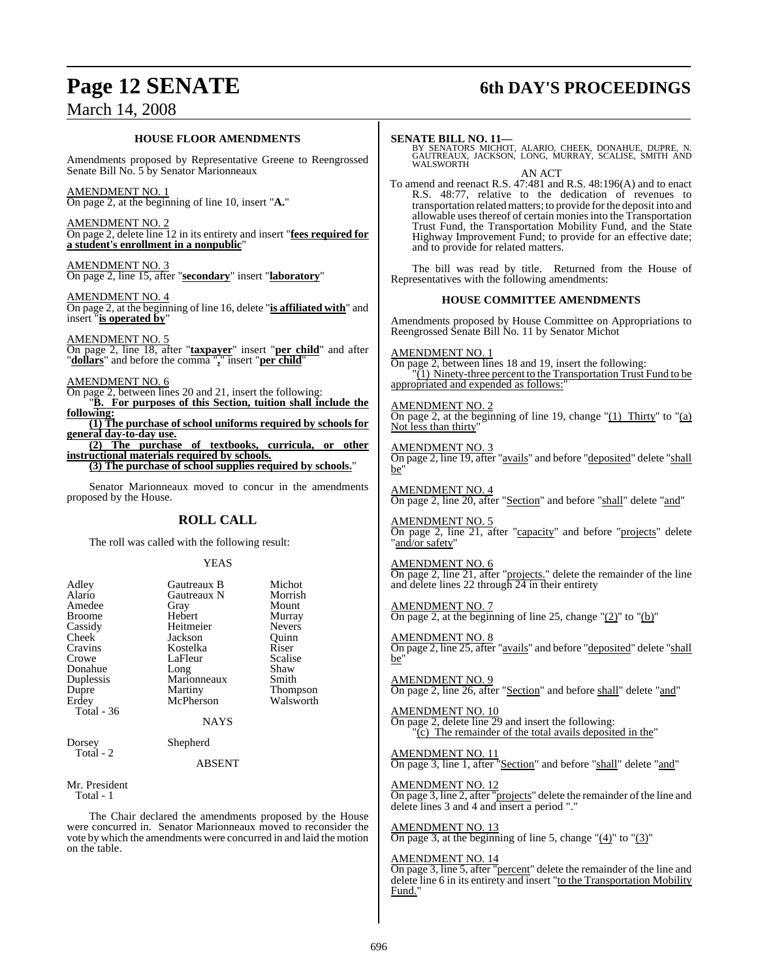# **Page 12 SENATE 6th DAY'S PROCEEDINGS**

## March 14, 2008

#### **HOUSE FLOOR AMENDMENTS**

Amendments proposed by Representative Greene to Reengrossed Senate Bill No. 5 by Senator Marionneaux

AMENDMENT NO. 1 On page 2, at the beginning of line 10, insert "**A.**"

AMENDMENT NO. 2 On page 2, delete line 12 in its entirety and insert "**fees required for a student's enrollment in a nonpublic**"

AMENDMENT NO. 3 On page 2, line 15, after "**secondary**" insert "**laboratory**"

AMENDMENT NO. 4 On page 2, at the beginning of line 16, delete "**is affiliated with**" and insert "**is operated by**"

AMENDMENT NO. 5 On page 2, line 18, after "**taxpayer**" insert "**per child**" and after "**dollars**" and before the comma "**,**" insert "**per child**"

#### AMENDMENT NO. 6

On page 2, between lines 20 and 21, insert the following:

"**B. For purposes of this Section, tuition shall include the following:**

**(1) The purchase of school uniforms required by schools for general day-to-day use.**

**(2) The purchase of textbooks, curricula, or other instructional materials required by schools. (3) The purchase of school supplies required by schools.**"

Senator Marionneaux moved to concur in the amendments proposed by the House.

#### **ROLL CALL**

The roll was called with the following result:

#### YEAS

| Adley         | Gautreaux B | Michot        |
|---------------|-------------|---------------|
| Alario        | Gautreaux N | Morrish       |
| Amedee        | Gray        | Mount         |
| <b>Broome</b> | Hebert      | Murray        |
| Cassidy       | Heitmeier   | <b>Nevers</b> |
| Cheek         | Jackson     | Quinn         |
| Cravins       | Kostelka    | Riser         |
| Crowe         | LaFleur     | Scalise       |
| Donahue       | Long        | Shaw          |
| Duplessis     | Marionneaux | Smith         |
| Dupre         | Martiny     | Thompson      |
| Erdey         | McPherson   | Walsworth     |
| Total $-36$   |             |               |
|               | NAYS        |               |
| Dorsey        | Shepherd    |               |
| Total - 2     |             |               |
|               | ABSENT      |               |

Mr. President Total - 1

The Chair declared the amendments proposed by the House were concurred in. Senator Marionneaux moved to reconsider the vote by which the amendments were concurred in and laid the motion on the table.

**SENATE BILL NO. 11—**<br>BY SENATORS MICHOT, ALARIO, CHEEK, DONAHUE, DUPRE, N.<br>GAUTREAUX, JACKSON, LONG, MURRAY, SCALISE, SMITH AND<br>WALSWORTH

AN ACT To amend and reenact R.S. 47:481 and R.S. 48:196(A) and to enact R.S. 48:77, relative to the dedication of revenues to transportation relatedmatters; to provide forthe deposit into and allowable uses thereof of certain monies into the Transportation Trust Fund, the Transportation Mobility Fund, and the State Highway Improvement Fund; to provide for an effective date; and to provide for related matters.

The bill was read by title. Returned from the House of Representatives with the following amendments:

#### **HOUSE COMMITTEE AMENDMENTS**

Amendments proposed by House Committee on Appropriations to Reengrossed Senate Bill No. 11 by Senator Michot

#### AMENDMENT NO. 1

On page 2, between lines 18 and 19, insert the following: "(1) Ninety-three percent to the Transportation Trust Fund to be appropriated and expended as follows:

AMENDMENT NO. 2 On page 2, at the beginning of line 19, change  $\degree$ (1) Thirty  $\degree$  to  $\degree$ (a) Not less than thirty'

AMENDMENT NO. 3 On page 2, line 19, after "avails" and before "deposited" delete "shall be"

AMENDMENT NO. 4 On page 2, line 20, after "Section" and before "shall" delete "and"

AMENDMENT NO. 5 On page 2, line 21, after "capacity" and before "projects" delete "and/or safety"

#### AMENDMENT NO. 6

On page 2, line 21, after "projects." delete the remainder of the line and delete lines 22 through 24 in their entirety

AMENDMENT NO. 7 On page 2, at the beginning of line 25, change  $"(2)"$  to  $"(b)"$ 

#### AMENDMENT NO. 8 On page 2, line 25, after "avails" and before "deposited" delete "shall be"

AMENDMENT NO. 9 On page 2, line 26, after "Section" and before shall" delete "and"

AMENDMENT NO. 10 On page 2, delete line 29 and insert the following:  $\overline{c}$ ) The remainder of the total avails deposited in the

AMENDMENT NO. 11

On page 3, line 1, after "Section" and before "shall" delete "and"

AMENDMENT NO. 12 On page 3, line 2, after "projects" delete the remainder of the line and delete lines 3 and 4 and insert a period "."

AMENDMENT NO. 13

On page 3, at the beginning of line 5, change  $"(4)"$  to  $"(3)"$ 

#### **MENDMENT NO. 14**

On page 3, line 5, after "percent" delete the remainder of the line and delete line 6 in its entirety and insert "to the Transportation Mobility Fund."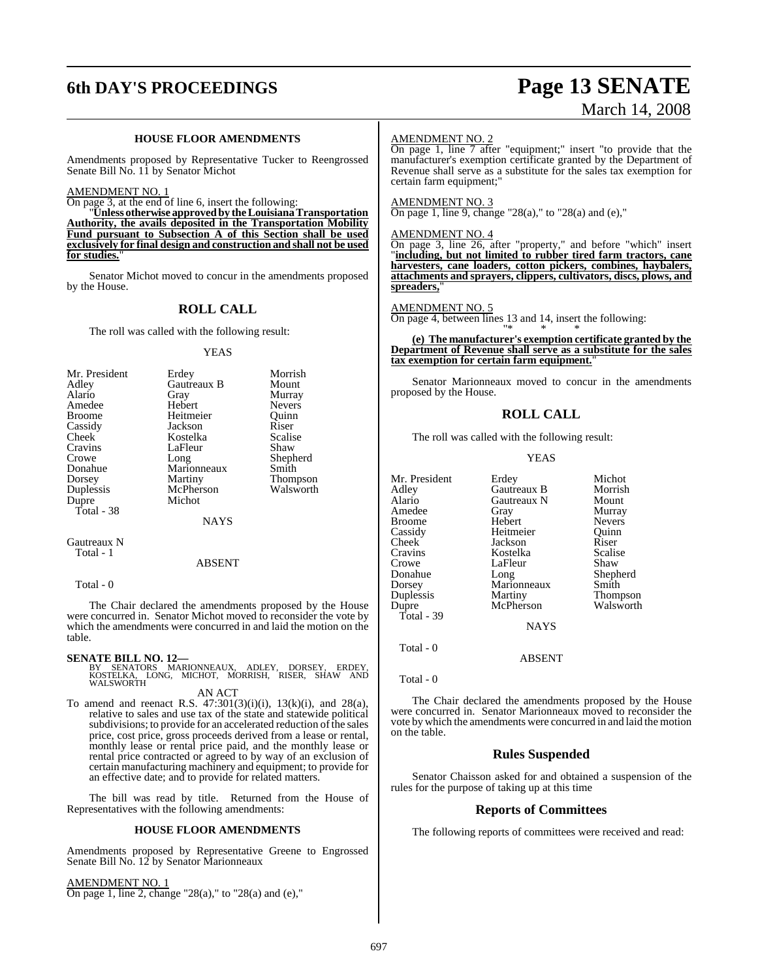# **6th DAY'S PROCEEDINGS Page 13 SENATE**

# March 14, 2008

#### **HOUSE FLOOR AMENDMENTS**

Amendments proposed by Representative Tucker to Reengrossed Senate Bill No. 11 by Senator Michot

AMENDMENT NO. 1

On page 3, at the end of line 6, insert the following:

"**Unless otherwise approved by the Louisiana Transportation Authority, the avails deposited in the Transportation Mobility Fund pursuant to Subsection A of this Section shall be used exclusively for final design and construction and shall not be used** for studies.

Senator Michot moved to concur in the amendments proposed by the House.

#### **ROLL CALL**

The roll was called with the following result:

#### YEAS

| Mr. President | Erdey       | Morrish         |
|---------------|-------------|-----------------|
| Adley         | Gautreaux B | Mount           |
| Alario        | Gray        | Murray          |
| Amedee        | Hebert      | <b>Nevers</b>   |
| <b>Broome</b> | Heitmeier   | Ouinn           |
| Cassidy       | Jackson     | Riser           |
| Cheek         | Kostelka    | Scalise         |
| Cravins       | LaFleur     | Shaw            |
| Crowe         | Long        | Shepherd        |
| Donahue       | Marionneaux | Smith           |
| Dorsey        | Martiny     | <b>Thompson</b> |
| Duplessis     | McPherson   | Walsworth       |
| Dupre         | Michot      |                 |
| Total - 38    |             |                 |
|               | NAYS        |                 |

Gautreaux N Total - 1

#### ABSENT

Total - 0

The Chair declared the amendments proposed by the House were concurred in. Senator Michot moved to reconsider the vote by which the amendments were concurred in and laid the motion on the table.

#### **SENATE BILL NO. 12—**

BY SENATORS MARIONNEAUX, ADLEY, DORSEY, ERDEY,<br>KOSTELKA, LONG, MICHOT, MORRISH, RISER, SHAW AND<br>WALSWORTH

AN ACT

To amend and reenact R.S.  $47:301(3)(i)(i)$ ,  $13(k)(i)$ , and  $28(a)$ , relative to sales and use tax of the state and statewide political subdivisions; to provide for an accelerated reduction of the sales price, cost price, gross proceeds derived from a lease or rental, monthly lease or rental price paid, and the monthly lease or rental price contracted or agreed to by way of an exclusion of certain manufacturing machinery and equipment; to provide for an effective date; and to provide for related matters.

The bill was read by title. Returned from the House of Representatives with the following amendments:

#### **HOUSE FLOOR AMENDMENTS**

Amendments proposed by Representative Greene to Engrossed Senate Bill No. 12 by Senator Marionneaux

AMENDMENT NO. 1

On page 1, line 2, change "28(a)," to "28(a) and (e),"

#### AMENDMENT NO. 2

On page 1, line 7 after "equipment;" insert "to provide that the manufacturer's exemption certificate granted by the Department of Revenue shall serve as a substitute for the sales tax exemption for certain farm equipment;"

#### AMENDMENT NO. 3

 $\overline{\text{On page 1, line 9, change}}$  "28(a)," to "28(a) and (e),"

#### AMENDMENT NO. 4

On page 3, line 26, after "property," and before "which" insert "**including, but not limited to rubber tired farm tractors, cane harvesters, cane loaders, cotton pickers, combines, haybalers, attachments and sprayers, clippers, cultivators, discs, plows, and** spreaders.

#### AMENDMENT NO. 5

On page 4, between lines 13 and 14, insert the following:

"\* \* \* **(e) The manufacturer's exemption certificate granted by the Department of Revenue shall serve as a substitute for the sales tax exemption for certain farm equipment.**"

Senator Marionneaux moved to concur in the amendments proposed by the House.

#### **ROLL CALL**

The roll was called with the following result:

#### YEAS

| Mr. President | Erdey         | Michot        |
|---------------|---------------|---------------|
| Adlev         | Gautreaux B   | Morrish       |
| Alario        | Gautreaux N   | Mount         |
| Amedee        | Gray          | Murray        |
| Broome        | Hebert        | <b>Nevers</b> |
| Cassidy       | Heitmeier     | Ouinn         |
| Cheek         | Jackson       | Riser         |
| Cravins       | Kostelka      | Scalise       |
| Crowe         | LaFleur       | Shaw          |
| Donahue       | Long          | Shepherd      |
| Dorsey        | Marionneaux   | Smith         |
| Duplessis     | Martiny       | Thompson      |
| Dupre         | McPherson     | Walsworth     |
| Total - 39    |               |               |
|               | <b>NAYS</b>   |               |
| Total - 0     |               |               |
|               | <b>ABSENT</b> |               |
|               |               |               |

Total - 0

The Chair declared the amendments proposed by the House were concurred in. Senator Marionneaux moved to reconsider the vote by which the amendments were concurred in and laid the motion on the table.

#### **Rules Suspended**

Senator Chaisson asked for and obtained a suspension of the rules for the purpose of taking up at this time

#### **Reports of Committees**

The following reports of committees were received and read: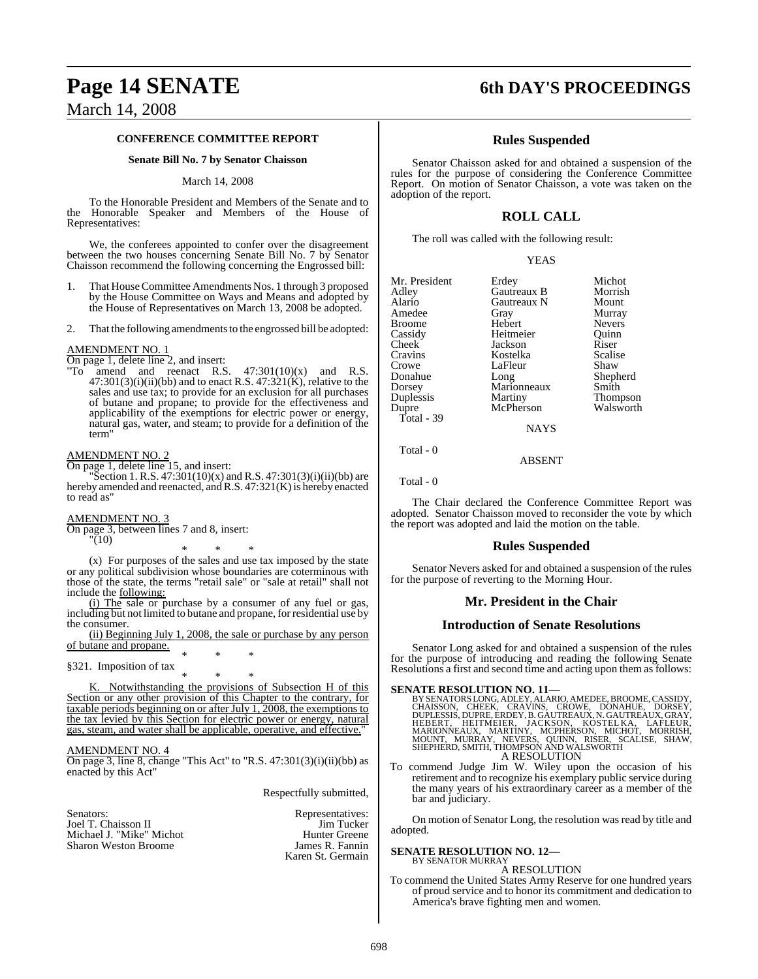# **Page 14 SENATE 6th DAY'S PROCEEDINGS**

## March 14, 2008

#### **CONFERENCE COMMITTEE REPORT**

#### **Senate Bill No. 7 by Senator Chaisson**

#### March 14, 2008

To the Honorable President and Members of the Senate and to the Honorable Speaker and Members of the House of Representatives:

We, the conferees appointed to confer over the disagreement between the two houses concerning Senate Bill No. 7 by Senator Chaisson recommend the following concerning the Engrossed bill:

- 1. That HouseCommittee Amendments Nos. 1 through 3 proposed by the House Committee on Ways and Means and adopted by the House of Representatives on March 13, 2008 be adopted.
- 2. That the following amendments to the engrossed bill be adopted:

#### AMENDMENT NO. 1

On page 1, delete line 2, and insert:

"To amend and reenact R.S.  $47:301(10)(x)$  and R.S.  $47:301(3)(i)(ii)(bb)$  and to enact R.S.  $47:321(K)$ , relative to the sales and use tax; to provide for an exclusion for all purchases of butane and propane; to provide for the effectiveness and applicability of the exemptions for electric power or energy, natural gas, water, and steam; to provide for a definition of the term"

AMENDMENT NO. 2

On page 1, delete line 15, and insert: Section 1. R.S.  $47:301(10)(x)$  and R.S.  $47:301(3)(i)(ii)(bb)$  are hereby amended and reenacted, and R.S. 47:321(K) is hereby enacted to read as"

#### AMENDMENT NO. 3

On page 3, between lines 7 and 8, insert:

"(10)

\* \* \* (x) For purposes of the sales and use tax imposed by the state or any political subdivision whose boundaries are coterminous with those of the state, the terms "retail sale" or "sale at retail" shall not include the following:

(i) The sale or purchase by a consumer of any fuel or gas, including but not limited to butane and propane, for residential use by the consumer.

(ii) Beginning July 1, 2008, the sale or purchase by any person of butane and propane. \* \* \*

§321. Imposition of tax

\* \* \* K. Notwithstanding the provisions of Subsection H of this Section or any other provision of this Chapter to the contrary, for taxable periods beginning on or after July 1, 2008, the exemptions to the tax levied by this Section for electric power or energy, natural gas, steam, and water shall be applicable, operative, and effective.

#### AMENDMENT NO. 4

On page 3, line 8, change "This Act" to "R.S.  $47:301(3)(i)(ii)(bb)$  as enacted by this Act"

Respectfully submitted,

| Senators:                |  |
|--------------------------|--|
| Joel T. Chaisson II      |  |
| Michael J. "Mike" Michot |  |
| Sharon Weston Broome     |  |

Representatives: Jim Tucker Hunter Greene James R. Fannin Karen St. Germain

#### **Rules Suspended**

Senator Chaisson asked for and obtained a suspension of the rules for the purpose of considering the Conference Committee Report. On motion of Senator Chaisson, a vote was taken on the adoption of the report.

### **ROLL CALL**

The roll was called with the following result:

|--|

| Mr. President | Erdey       | Michot        |
|---------------|-------------|---------------|
| Adley         | Gautreaux B | Morrish       |
| Alario        | Gautreaux N | Mount         |
| Amedee        | Gray        | Murray        |
| <b>Broome</b> | Hebert      | <b>Nevers</b> |
| Cassidy       | Heitmeier   | Ouinn         |
| Cheek         | Jackson     | Riser         |
| Cravins       | Kostelka    | Scalise       |
| Crowe         | LaFleur     | Shaw          |
| Donahue       | Long        | Shepherd      |
| Dorsey        | Marionneaux | Smith         |
| Duplessis     | Martiny     | Thompson      |
| Dupre         | McPherson   | Walsworth     |
| Total - 39    |             |               |
|               | NAVC        |               |

NAYS

ABSENT

Total - 0

Total - 0

The Chair declared the Conference Committee Report was adopted. Senator Chaisson moved to reconsider the vote by which the report was adopted and laid the motion on the table.

### **Rules Suspended**

Senator Nevers asked for and obtained a suspension of the rules for the purpose of reverting to the Morning Hour.

### **Mr. President in the Chair**

#### **Introduction of Senate Resolutions**

Senator Long asked for and obtained a suspension of the rules for the purpose of introducing and reading the following Senate Resolutions a first and second time and acting upon them as follows:

SENATE RESOLUTION NO. 11—<br>BY SENATORS LONG, ADLEY, ALARIO, AMEDEE, BROOME, CASSIDY, CHAISSON, CHEEK, CRAVINS, CROWE, DONAHUE, DORSEY,<br>DUPLESSIS, DUPRE, ERDEY, B. GAUTREAUX, N. GAUTREAUX, GRAY,<br>HEBERT, HEITMEIER, JACKSON, K A RESOLUTION

To commend Judge Jim W. Wiley upon the occasion of his retirement and to recognize his exemplary public service during the many years of his extraordinary career as a member of the bar and judiciary.

On motion of Senator Long, the resolution was read by title and adopted.

#### **SENATE RESOLUTION NO. 12—** BY SENATOR MURRAY

A RESOLUTION

To commend the United States Army Reserve for one hundred years of proud service and to honor its commitment and dedication to America's brave fighting men and women.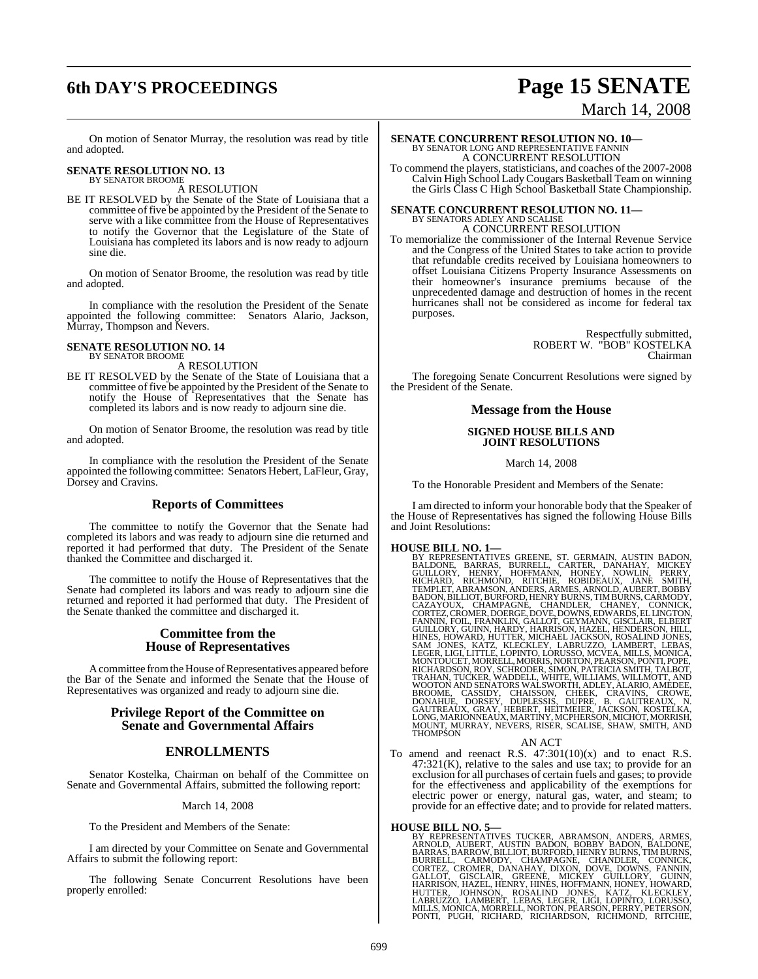# **6th DAY'S PROCEEDINGS Page 15 SENATE**

# March 14, 2008

On motion of Senator Murray, the resolution was read by title and adopted.

# **SENATE RESOLUTION NO. 13** BY SENATOR BROOME

A RESOLUTION

BE IT RESOLVED by the Senate of the State of Louisiana that a committee of five be appointed by the President of the Senate to serve with a like committee from the House of Representatives to notify the Governor that the Legislature of the State of Louisiana has completed its labors and is now ready to adjourn sine die.

On motion of Senator Broome, the resolution was read by title and adopted.

In compliance with the resolution the President of the Senate appointed the following committee: Senators Alario, Jackson, Murray, Thompson and Nevers.

# **SENATE RESOLUTION NO. 14** BY SENATOR BROOME

A RESOLUTION

BE IT RESOLVED by the Senate of the State of Louisiana that a committee of five be appointed by the President of the Senate to notify the House of Representatives that the Senate has completed its labors and is now ready to adjourn sine die.

On motion of Senator Broome, the resolution was read by title and adopted.

In compliance with the resolution the President of the Senate appointed the following committee: Senators Hebert, LaFleur, Gray, Dorsey and Cravins.

### **Reports of Committees**

The committee to notify the Governor that the Senate had completed its labors and was ready to adjourn sine die returned and reported it had performed that duty. The President of the Senate thanked the Committee and discharged it.

The committee to notify the House of Representatives that the Senate had completed its labors and was ready to adjourn sine die returned and reported it had performed that duty. The President of the Senate thanked the committee and discharged it.

#### **Committee from the House of Representatives**

A committee from the House of Representatives appeared before the Bar of the Senate and informed the Senate that the House of Representatives was organized and ready to adjourn sine die.

### **Privilege Report of the Committee on Senate and Governmental Affairs**

### **ENROLLMENTS**

Senator Kostelka, Chairman on behalf of the Committee on Senate and Governmental Affairs, submitted the following report:

#### March 14, 2008

To the President and Members of the Senate:

I am directed by your Committee on Senate and Governmental Affairs to submit the following report:

The following Senate Concurrent Resolutions have been properly enrolled:

# **SENATE CONCURRENT RESOLUTION NO. 10—**<br>BY SENATOR LONG AND REPRESENTATIVE FANNIN<br>A CONCURRENT RESOLUTION

To commend the players, statisticians, and coaches of the 2007-2008 Calvin High School LadyCougars Basketball Team on winning the Girls Class C High School Basketball State Championship.

### **SENATE CONCURRENT RESOLUTION NO. 11—** BY SENATORS ADLEY AND SCALISE A CONCURRENT RESOLUTION

To memorialize the commissioner of the Internal Revenue Service and the Congress of the United States to take action to provide that refundable credits received by Louisiana homeowners to offset Louisiana Citizens Property Insurance Assessments on their homeowner's insurance premiums because of the unprecedented damage and destruction of homes in the recent hurricanes shall not be considered as income for federal tax purposes.

> Respectfully submitted, ROBERT W. "BOB" KOSTELKA Chairman

The foregoing Senate Concurrent Resolutions were signed by the President of the Senate.

#### **Message from the House**

#### **SIGNED HOUSE BILLS AND JOINT RESOLUTIONS**

March 14, 2008

To the Honorable President and Members of the Senate:

I am directed to inform your honorable body that the Speaker of the House of Representatives has signed the following House Bills and Joint Resolutions:

**HOUSE BILL NO. 1—**<br>BY REPRESENTATIVES GREENE, ST. GERMAIN, AUSTIN BADON, BALDONE, BARRAS, BURRELL, CARTER, DANAHAY, MICKEY<br>GUILLORY, HENRY, HOFFMANN, HONEY, NOWLIN, PERRY,<br>RICHARD, RICHMOND, RITCHIE, ROBIDEAUX, JANE SMITH

AN ACT<br>To amend and reenact R.S.  $47:301(10)(x)$  and to enact R.S.  $47:321(K)$ , relative to the sales and use tax; to provide for an exclusion for all purchases of certain fuels and gases; to provide for the effectiveness and applicability of the exemptions for electric power or energy, natural gas, water, and steam; to provide for an effective date; and to provide for related matters.

#### **HOUSE BILL NO. 5—**

BY REPRESENTATIVES TUCKER, ABRAMSON, ANDERS, ARMES, ARNOLD, AUBERT, AUSTIN BADON, BOBBY BARNAS, BARROW, BELDONE, BARRAS, BARROW, BILLIOT, BURFORD, HENRY BURNS, TIM BURNS, CORTEZ, CONNICK, CHAMPAGNE, CHANDLER, CONNICK, CORT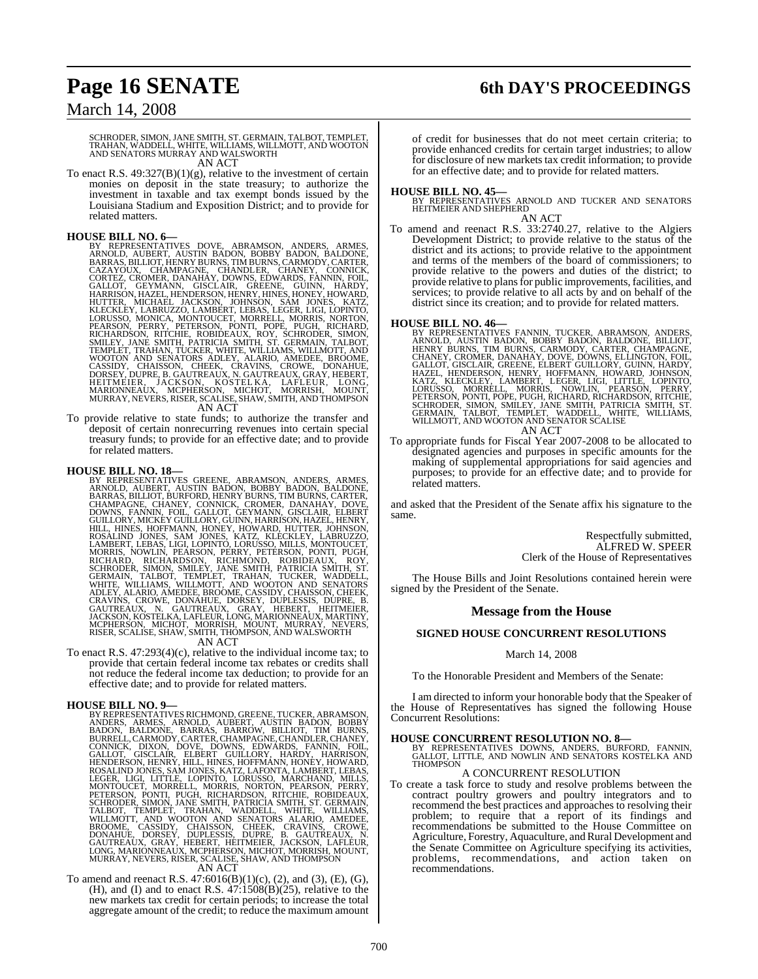# **Page 16 SENATE 6th DAY'S PROCEEDINGS**

## March 14, 2008

# SCHRODER, SIMON, JANE SMITH, ST. GERMAIN, TALBOT, TEMPLET,<br>TRAHAN, WADDELL, WHITE, WILLIAMS, WILLMOTT, AND WOOTON<br>AND SENATORS MURRAY AND WALSWORTH

AN ACT

To enact R.S. 49:327(B)(1)(g), relative to the investment of certain monies on deposit in the state treasury; to authorize the investment in taxable and tax exempt bonds issued by the Louisiana Stadium and Exposition District; and to provide for related matters.

- **HOUSE BILL NO. 6—**<br>BY REPRESENTATIVES DOVE, ABRAMSON, ANDERS, ARMES, ARNOLD, AUBERT, AUSTIN BADON, BOBBY BADON, BALDONE, BARRAS, BILLIOT, HENRY BURNS, TIM BURNS, CARMODY, CARTER, CAZAYOUX, CHAMPAGNE, CONNECK, GENALOT, GEN
- To provide relative to state funds; to authorize the transfer and To provide relative to state funds; to authorize the transfer and deposit of certain nonrecurring revenues into certain special treasury funds; to provide for an effective date; and to provide for related matters.

HOUSE BILL NO. 18—<br>BY REPRESENTATIVES GREENE, ABRAMSON, ANDERS, ARMES, ARNOLD, AUBERT, AUSTIN BADON, BOBBY BADON, BALDONE, BARRAS, BILLIOT, BURFORD, HENRY BURNS, CIMBURNS, CARTER,<br>CHAMPAGNE, CHANEY, CONNICK, CROMER, DANAHA RISER, SCALISE, SHAW, SMITH, THOMPSON, AND WALSWORTH

To enact R.S. 47:293(4)(c), relative to the individual income tax; to provide that certain federal income tax rebates or credits shall not reduce the federal income tax deduction; to provide for an effective date; and to provide for related matters.

#### **HOUSE BILL NO. 9—**

BY REPRESENTATIVES RICHMOND, GREENE, TUCKER, ABRAMSON,<br>ANDERS, ARMES, ARNOLD, AUBERT, AUSTIN BADON, BOBBY<br>BADON, BALDONE, BARRAS, BARROW, BILLIOT, TIM BURNS,<br>BURRELL,CARMODY,CARTER, CHAMPAGNE, CHANDLER, CHANEY, CONNICK, DIXON, DOVE, DOWNS, EDWARDS, FANNIN, FOIL, GALLOT, GISCLAIR, ELBERT GUILLORY, HARDY, HARISON,<br>HENDERSON, HENRY, HILL, HINES, HOFFMANN, HONEY, HARRISON,<br>ROSALIND JONES, SAM JONES, KATZ, LAFONTA, LAMBERT, LEBAS,<br>LEG

#### AN ACT

To amend and reenact R.S. 47:6016(B)(1)(c), (2), and (3), (E), (G), (H), and (I) and to enact R.S.  $47:1508(B)(25)$ , relative to the new markets tax credit for certain periods; to increase the total aggregate amount of the credit; to reduce the maximum amount

of credit for businesses that do not meet certain criteria; to provide enhanced credits for certain target industries; to allow for disclosure of new markets tax credit information; to provide for an effective date; and to provide for related matters.

#### **HOUSE BILL NO. 45—**

BY REPRESENTATIVES ARNOLD AND TUCKER AND SENATORS HEITMEIER AND SHEPHERD AN ACT

To amend and reenact R.S. 33:2740.27, relative to the Algiers Development District; to provide relative to the status of the district and its actions; to provide relative to the appointment and terms of the members of the board of commissioners; to provide relative to the powers and duties of the district; to provide relative to plans for public improvements, facilities, and services; to provide relative to all acts by and on behalf of the district since its creation; and to provide for related matters.

- HOUSE BILL NO. 46—<br>BY REPRESENTATIVES FANNIN, TUCKER, ABRAMSON, ANDERS, REPRESENTATIVES FANNIN, BOBBY BADON, BALDONE, BILLIOT,<br>HENRY BURNS, TIM BURNS, CARMODY, CARTER, CHAMPAGNE,<br>CHANEY, CROMER, DANAHAY, DOVE, DOWNS, ELLIN AN ACT
- To appropriate funds for Fiscal Year 2007-2008 to be allocated to designated agencies and purposes in specific amounts for the making of supplemental appropriations for said agencies and purposes; to provide for an effective date; and to provide for related matters.

and asked that the President of the Senate affix his signature to the same.

> Respectfully submitted, ALFRED W. SPEER Clerk of the House of Representatives

The House Bills and Joint Resolutions contained herein were signed by the President of the Senate.

#### **Message from the House**

#### **SIGNED HOUSE CONCURRENT RESOLUTIONS**

#### March 14, 2008

To the Honorable President and Members of the Senate:

I am directed to inform your honorable body that the Speaker of the House of Representatives has signed the following House Concurrent Resolutions:

**HOUSE CONCURRENT RESOLUTION NO. 8—**<br>BY REPRESENTATIVES DOWNS, ANDERS, BURFORD, FANNIN,<br>GALLOT, LITTLE, AND NOWLIN AND SENATORS KOSTELKA AND<br>THOMPSON

#### A CONCURRENT RESOLUTION

To create a task force to study and resolve problems between the contract poultry growers and poultry integrators and to recommend the best practices and approaches to resolving their problem; to require that a report of its findings and recommendations be submitted to the House Committee on Agriculture, Forestry, Aquaculture, and Rural Development and the Senate Committee on Agriculture specifying its activities, problems, recommendations, and action taken on recommendations.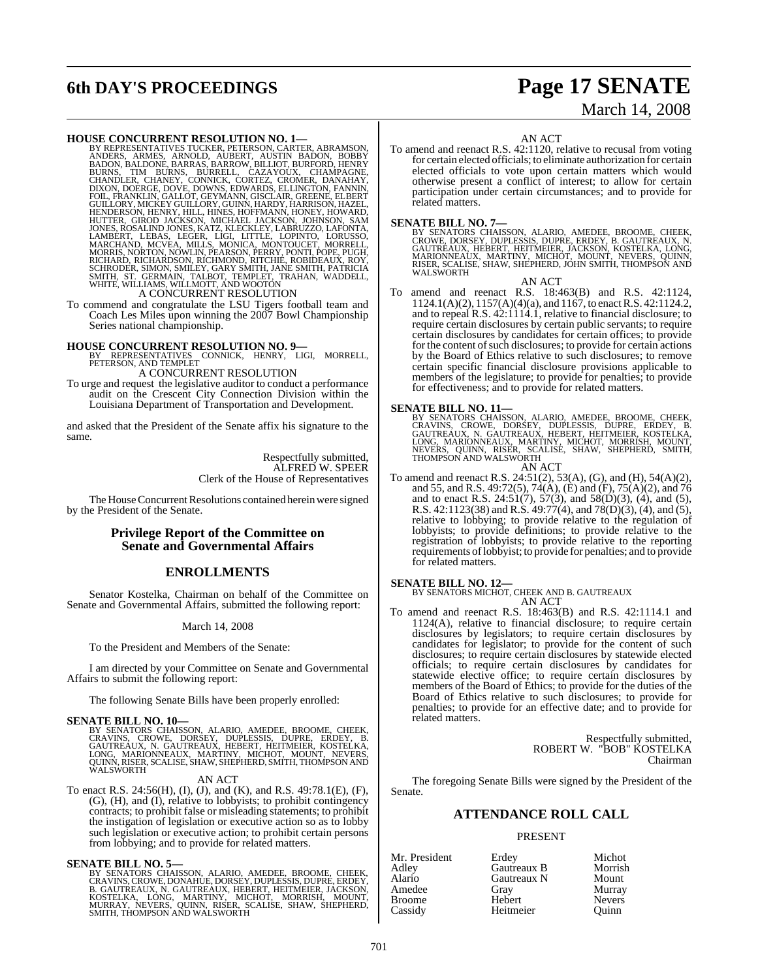# **6th DAY'S PROCEEDINGS Page 17 SENATE**

# March 14, 2008

#### **HOUSE CONCURRENT RESOLUTION NO. 1—**

BY REPRESENTATIVES TUCKER, PETERSON, CARTER, ABRAMSON, ANDERS, ARMES, ARMOLD, AUBERT, AUSTIN BADON, BOBBY<br>BADON, BALDONE, BARRAS, BARROW, BILLIOT, BURFORD, BOBBY<br>BURNS, TIM BURNS, BURRELL, CAZAYOUX, CHAMPAGNE, CHANDLER, CH

To commend and congratulate the LSU Tigers football team and Coach Les Miles upon winning the 2007 Bowl Championship Series national championship.

**HOUSE CONCURRENT RESOLUTION NO. 9—** BY REPRESENTATIVES CONNICK, HENRY, LIGI, MORRELL, PETERSON, AND TEMPLET A CONCURRENT RESOLUTION

To urge and request the legislative auditor to conduct a performance audit on the Crescent City Connection Division within the Louisiana Department of Transportation and Development.

and asked that the President of the Senate affix his signature to the same.

> Respectfully submitted, ALFRED W. SPEER Clerk of the House of Representatives

The House Concurrent Resolutions contained herein were signed by the President of the Senate.

#### **Privilege Report of the Committee on Senate and Governmental Affairs**

### **ENROLLMENTS**

Senator Kostelka, Chairman on behalf of the Committee on Senate and Governmental Affairs, submitted the following report:

#### March 14, 2008

To the President and Members of the Senate:

I am directed by your Committee on Senate and Governmental Affairs to submit the following report:

The following Senate Bills have been properly enrolled:

#### **SENATE BILL NO. 10—**

BY SENATORS CHAISSON, ALARIO, AMEDEE, BROOME, CHEEK,<br>CRAVINS, CROWE, DORSEY, DUPLESSIS, DUPRE, ERDEY, B.<br>GAUTREAUX, N. GAUTREAUX, HEBERT, HEITMEIER, KOSTELKA,<br>LONG, MARIONNEAUX, MARTINY, MICHOT, MOUNT, NEVERS,<br>QUINN,RISER,

#### AN ACT

To enact R.S. 24:56(H), (I), (J), and (K), and R.S. 49:78.1(E), (F), (G), (H), and (I), relative to lobbyists; to prohibit contingency contracts; to prohibit false or misleading statements; to prohibit the instigation of legislation or executive action so as to lobby such legislation or executive action; to prohibit certain persons from lobbying; and to provide for related matters.

#### **SENATE BILL NO. 5—**

BY SENATORS CHAISSON, ALARIO, AMEDEE, BROOME, CHEEK,<br>CRAVINS,CROWE,DONAHUE,DORSEY,DUPLESSIS,DUPRE,ERDEY,<br>B. GAUTREAUX, N. GAUTREAUX, HEBERT, HEITMEIER, JACKSON,<br>KOSTELKA, LONG, MARTINY, MICHOT, MORRISH, MOUNT,<br>MURRAY, NEVE

AN ACT

To amend and reenact R.S. 42:1120, relative to recusal from voting for certain elected officials; to eliminate authorization for certain elected officials to vote upon certain matters which would otherwise present a conflict of interest; to allow for certain participation under certain circumstances; and to provide for related matters.

**SENATE BILL NO. 7—**<br>BY SENATORS CHAISSON, ALARIO, AMEDEE, BROOME, CHEEK,<br>CROWE, DORSEY, DUPLESSIS, DUPRE, ERDEY, B. GAUTREAUX, N.<br>GAUTREAUX, HEBERT, HEITMEIER, JACKSON, KOSTELKA, LONG,<br>MARIONNEAUX, MARTINY, MICHOT, MOUNT, WALSWORTH

AN ACT

To amend and reenact R.S. 18:463(B) and R.S. 42:1124, 1124.1(A)(2), 1157(A)(4)(a), and 1167, to enact R.S. 42:1124.2, and to repeal R.S. 42:1114.1, relative to financial disclosure; to require certain disclosures by certain public servants; to require certain disclosures by candidates for certain offices; to provide for the content of such disclosures; to provide for certain actions by the Board of Ethics relative to such disclosures; to remove certain specific financial disclosure provisions applicable to members of the legislature; to provide for penalties; to provide for effectiveness; and to provide for related matters.

SENATE BILL NO. 11—<br>BY SENATORS CHAISSON, ALARIO, AMEDEE, BROOME, CHEEK, CRAVINS, CROWE, DORSEY, DUPLESSIS, DUPRE, ERDEY, B. GAUTREAUX, N. GAUTREAUX, HEBERT, HEITMEIER, KOSTELKA, LONG, MARIONNEAUX, MARTINY, MICHOT, MORRIS

To amend and reenact R.S. 24:51(2), 53(A), (G), and (H), 54(A)(2), To amend and reenact R.S. 24:51(2), 53(A), (G), and (H), 54(A)(2), and 55, and R.S. 49:72(5), 74(A), (E) and (F), 75(A)(2), and 76 and to enact R.S. 24:51(7), 57(3), and 58(D)(3), (4), and (5), R.S. 42:1123(38) and R.S. 49:77(4), and 78(D)(3), (4), and (5), relative to lobbying; to provide relative to the regulation of lobbyists; to provide definitions; to provide relative to the registration of lobbyists; to provide relative to the reporting requirements oflobbyist; to provide for penalties; and to provide for related matters.

**SENATE BILL NO. 12—**<br>BY SENATORS MICHOT, CHEEK AND B. GAUTREAUX<br>AN ACT

To amend and reenact R.S. 18:463(B) and R.S. 42:1114.1 and 1124(A), relative to financial disclosure; to require certain disclosures by legislators; to require certain disclosures by candidates for legislator; to provide for the content of such disclosures; to require certain disclosures by statewide elected officials; to require certain disclosures by candidates for statewide elective office; to require certain disclosures by members of the Board of Ethics; to provide for the duties of the Board of Ethics relative to such disclosures; to provide for penalties; to provide for an effective date; and to provide for related matters.

> Respectfully submitted, ROBERT W. "BOB" KOSTELKA Chairman

The foregoing Senate Bills were signed by the President of the Senate.

#### **ATTENDANCE ROLL CALL**

#### PRESENT

| Mr. President | Erdey       | Michot        |
|---------------|-------------|---------------|
| Adley         | Gautreaux B | Morrish       |
| Alario        | Gautreaux N | Mount         |
| Amedee        | Gray        | Murray        |
| Broome        | Hebert      | <b>Nevers</b> |
| Cassidy       | Heitmeier   | Ouinn         |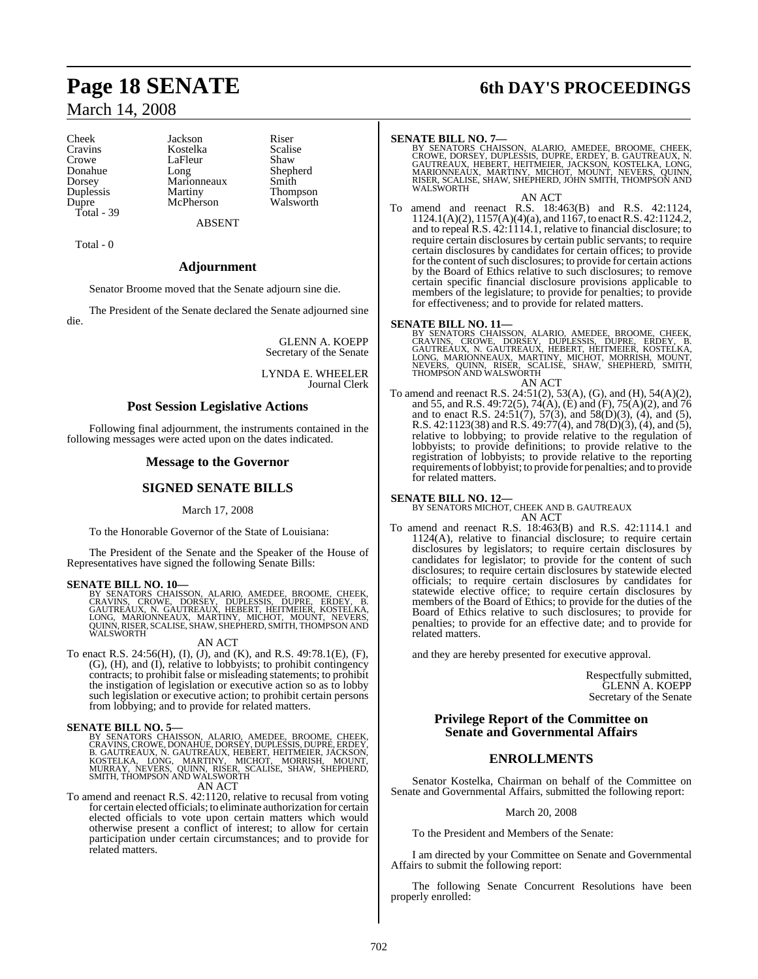# March 14, 2008

Dorsey Marionneaux<br>
Duplessis Martiny Total - 39

Cheek Jackson Riser<br>Cravins Kostelka Scalise Cravins Kostelka Scalise LaFleur Shaw<br>Long Shepherd Donahue Long Shepherd<br>Dorsey Marionneaux Smith Duplessis Martiny Thompson McPherson

ABSENT

Total - 0

#### **Adjournment**

Senator Broome moved that the Senate adjourn sine die.

The President of the Senate declared the Senate adjourned sine die.

> GLENN A. KOEPP Secretary of the Senate

LYNDA E. WHEELER Journal Clerk

#### **Post Session Legislative Actions**

Following final adjournment, the instruments contained in the following messages were acted upon on the dates indicated.

#### **Message to the Governor**

#### **SIGNED SENATE BILLS**

March 17, 2008

To the Honorable Governor of the State of Louisiana:

The President of the Senate and the Speaker of the House of Representatives have signed the following Senate Bills:

#### **SENATE BILL NO. 10—**

BY SENATORS CHAISSON, ALARIO, AMEDEE, BROOME, CHEEK,<br>CRAVINS, CROWE, DORSEY, DUPLESSIS, DUPRE, ERDEY, B.<br>GAUTREAUX, N. GAUTREAUX, HEBERT, HEITMEIER, KOSTELKA,<br>LONG, MARIONNEAUX, MARTINY, MICHOT, MOUNT, NEVERS,<br>QUINN,RISER,

AN ACT

To enact R.S. 24:56(H), (I), (J), and (K), and R.S. 49:78.1(E), (F), (G), (H), and (I), relative to lobbyists; to prohibit contingency contracts; to prohibit false or misleading statements; to prohibit the instigation of legislation or executive action so as to lobby such legislation or executive action; to prohibit certain persons from lobbying; and to provide for related matters.

#### **SENATE BILL NO. 5—**

BY SENATORS CHAISSON, ALARIO, AMEDEE, BROOME, CHEEK.<br>CRAVINS,CROWE,DONAHÜE,DORSEY,DUPLESSIS,DUPRE,ERDEY,<br>B. GAUTREAUX, N. GAUTREAUX, HEBERT, HEITMEIER,JACKSON,<br>KOSTELKA, LONG, MARTINY, MICHOT, MORRISH, MOUNT,<br>MURRAY, NEVER AN ACT

To amend and reenact R.S. 42:1120, relative to recusal from voting for certain elected officials; to eliminate authorization for certain elected officials to vote upon certain matters which would otherwise present a conflict of interest; to allow for certain participation under certain circumstances; and to provide for related matters.

# **Page 18 SENATE 6th DAY'S PROCEEDINGS**

**SENATE BILL NO. 7—**<br>BY SENATORS CHAISSON, ALARIO, AMEDEE, BROOME, CHEEK,<br>CROWE, DORSEY, DUPLESSIS, DUPRE, ERDEY, B. GAUTREAUX, N.<br>GAUTREAUX, HEBERT, HEITMEIER, JACKSON, KOSTELKA, LONG,<br>MARIONNEAUX, MARTINY, MICHOT, MOUNT, WALSWORTH<sup>T</sup>

AN ACT

To amend and reenact R.S. 18:463(B) and R.S. 42:1124, 1124.1(A)(2), 1157(A)(4)(a), and 1167, to enact R.S. 42:1124.2, and to repeal R.S. 42:1114.1, relative to financial disclosure; to require certain disclosures by certain public servants; to require certain disclosures by candidates for certain offices; to provide for the content of such disclosures; to provide for certain actions by the Board of Ethics relative to such disclosures; to remove certain specific financial disclosure provisions applicable to members of the legislature; to provide for penalties; to provide for effectiveness; and to provide for related matters.

SENATE BILL NO. 11—<br>BY SENATORS CHAISSON, ALARIO, AMEDEE, BROOME, CHEEK,<br>CRAVINS, CROWE, DORSEY, DUPLESSIS, DUPRE, ERDEY, B.<br>GAUTREAUX, N. GAUTREAUX, HEBERT, HEITMEIER, KOSTELKA,<br>LONG, MARIONNEAUX, MARTINY, MICHOT, MORRISH AN ACT

To amend and reenact R.S. 24:51(2), 53(A), (G), and (H), 54(A)(2), and 55, and R.S. 49:72(5), 74(A), (E) and (F), 75(A)(2), and 76 and to enact R.S. 24:51(7), 57(3), and 58(D)(3), (4), and (5), R.S. 42:1123(38) and R.S. 49:77(4), and 78(D)(3), (4), and (5), relative to lobbying; to provide relative to the regulation of lobbyists; to provide definitions; to provide relative to the registration of lobbyists; to provide relative to the reporting requirements oflobbyist; to provide for penalties; and to provide for related matters.

**SENATE BILL NO. 12—** BY SENATORS MICHOT, CHEEK AND B. GAUTREAUX AN ACT

To amend and reenact R.S. 18:463(B) and R.S. 42:1114.1 and 1124(A), relative to financial disclosure; to require certain disclosures by legislators; to require certain disclosures by candidates for legislator; to provide for the content of such disclosures; to require certain disclosures by statewide elected officials; to require certain disclosures by candidates for statewide elective office; to require certain disclosures by members of the Board of Ethics; to provide for the duties of the Board of Ethics relative to such disclosures; to provide for penalties; to provide for an effective date; and to provide for related matters.

and they are hereby presented for executive approval.

Respectfully submitted, GLENN A. KOEPP Secretary of the Senate

#### **Privilege Report of the Committee on Senate and Governmental Affairs**

### **ENROLLMENTS**

Senator Kostelka, Chairman on behalf of the Committee on Senate and Governmental Affairs, submitted the following report:

March 20, 2008

To the President and Members of the Senate:

I am directed by your Committee on Senate and Governmental Affairs to submit the following report:

The following Senate Concurrent Resolutions have been properly enrolled: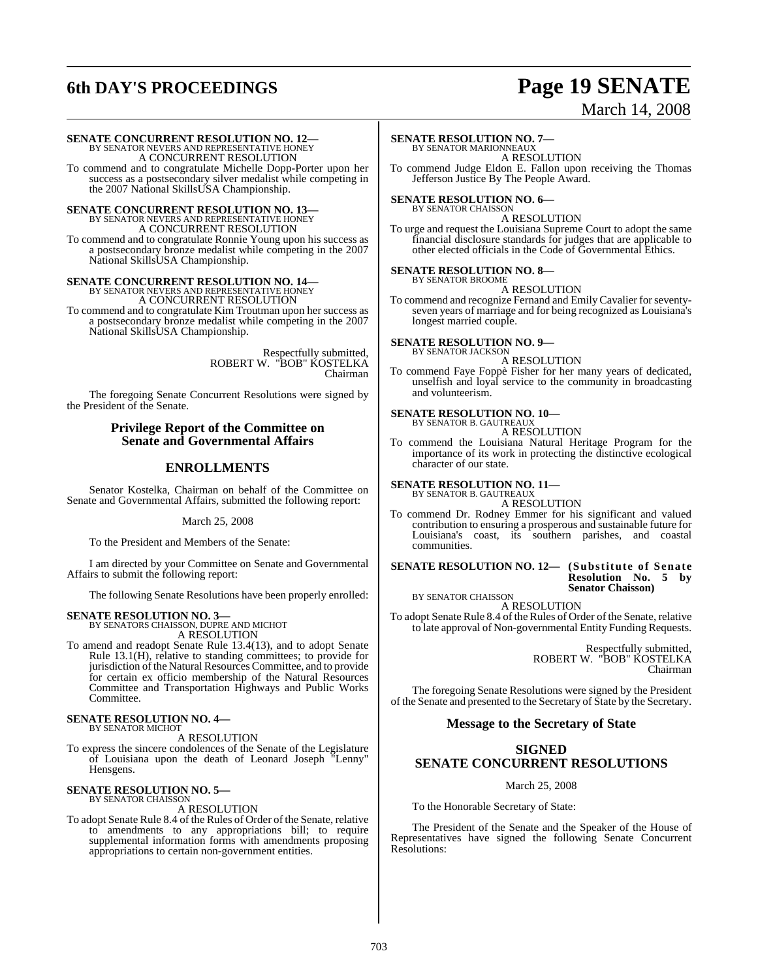# **6th DAY'S PROCEEDINGS Page 19 SENATE**

March 14, 2008

**SENATE CONCURRENT RESOLUTION NO. 12—**<br>BY SENATOR NEVERS AND REPRESENTATIVE HONEY<br>A CONCURRENT RESOLUTION

To commend and to congratulate Michelle Dopp-Porter upon her success as a postsecondary silver medalist while competing in the 2007 National SkillsUSA Championship.

**SENATE CONCURRENT RESOLUTION NO. 13—** BY SENATOR NEVERS AND REPRESENTATIVE HONEY A CONCURRENT RESOLUTION To commend and to congratulate Ronnie Young upon his success as a postsecondary bronze medalist while competing in the 2007 National SkillsUSA Championship.

**SENATE CONCURRENT RESOLUTION NO. 14—** BY SENATOR NEVERS AND REPRESENTATIVE HONEY A CONCURRENT RESOLUTION

To commend and to congratulate Kim Troutman upon her success as a postsecondary bronze medalist while competing in the 2007 National SkillsUSA Championship.

> Respectfully submitted, ROBERT W. "BOB" KOSTELKA Chairman

The foregoing Senate Concurrent Resolutions were signed by the President of the Senate.

#### **Privilege Report of the Committee on Senate and Governmental Affairs**

### **ENROLLMENTS**

Senator Kostelka, Chairman on behalf of the Committee on Senate and Governmental Affairs, submitted the following report:

March 25, 2008

To the President and Members of the Senate:

I am directed by your Committee on Senate and Governmental Affairs to submit the following report:

The following Senate Resolutions have been properly enrolled:

**SENATE RESOLUTION NO. 3—** BY SENATORS CHAISSON, DUPRE AND MICHOT A RESOLUTION

To amend and readopt Senate Rule 13.4(13), and to adopt Senate Rule 13.1(H), relative to standing committees; to provide for jurisdiction ofthe Natural Resources Committee, and to provide for certain ex officio membership of the Natural Resources Committee and Transportation Highways and Public Works Committee.

#### **SENATE RESOLUTION NO. 4—** BY SENATOR MICHOT

A RESOLUTION

To express the sincere condolences of the Senate of the Legislature of Louisiana upon the death of Leonard Joseph "Lenny" Hensgens.

#### **SENATE RESOLUTION NO. 5—** BY SENATOR CHAISSON

A RESOLUTION

To adopt Senate Rule 8.4 of the Rules of Order of the Senate, relative to amendments to any appropriations bill; to require supplemental information forms with amendments proposing appropriations to certain non-government entities.

### **SENATE RESOLUTION NO. 7—**

BY SENATOR MARIONNEAUX A RESOLUTION

To commend Judge Eldon E. Fallon upon receiving the Thomas Jefferson Justice By The People Award.

**SENATE RESOLUTION NO. 6—** BY SENATOR CHAISSON

A RESOLUTION

To urge and request the Louisiana Supreme Court to adopt the same financial disclosure standards for judges that are applicable to other elected officials in the Code of Governmental Ethics.

#### **SENATE RESOLUTION NO. 8—** BY SENATOR BROOME

A RESOLUTION

To commend and recognize Fernand and EmilyCavalier forseventyseven years of marriage and for being recognized as Louisiana's longest married couple.

#### **SENATE RESOLUTION NO. 9—** BY SENATOR JACKSON

A RESOLUTION

To commend Faye Foppè Fisher for her many years of dedicated, unselfish and loyal service to the community in broadcasting and volunteerism.

#### **SENATE RESOLUTION NO. 10—**

BY SENATOR B. GAUTREAUX A RESOLUTION

To commend the Louisiana Natural Heritage Program for the importance of its work in protecting the distinctive ecological character of our state.

# **SENATE RESOLUTION NO. 11—** BY SENATOR B. GAUTREAUX

A RESOLUTION

To commend Dr. Rodney Emmer for his significant and valued contribution to ensuring a prosperous and sustainable future for Louisiana's coast, its southern parishes, and coastal communities.

#### **SENATE RESOLUTION NO. 12— (Substitute of Senate Resolution No. 5 by Senator Chaisson)**

BY SENATOR CHAISSON

A RESOLUTION To adopt Senate Rule 8.4 of the Rules of Order of the Senate, relative to late approval of Non-governmental Entity Funding Requests.

> Respectfully submitted, ROBERT W. "BOB" KOSTELKA Chairman

The foregoing Senate Resolutions were signed by the President of the Senate and presented to the Secretary of State by the Secretary.

### **Message to the Secretary of State**

#### **SIGNED**

### **SENATE CONCURRENT RESOLUTIONS**

March 25, 2008

To the Honorable Secretary of State:

The President of the Senate and the Speaker of the House of Representatives have signed the following Senate Concurrent Resolutions: